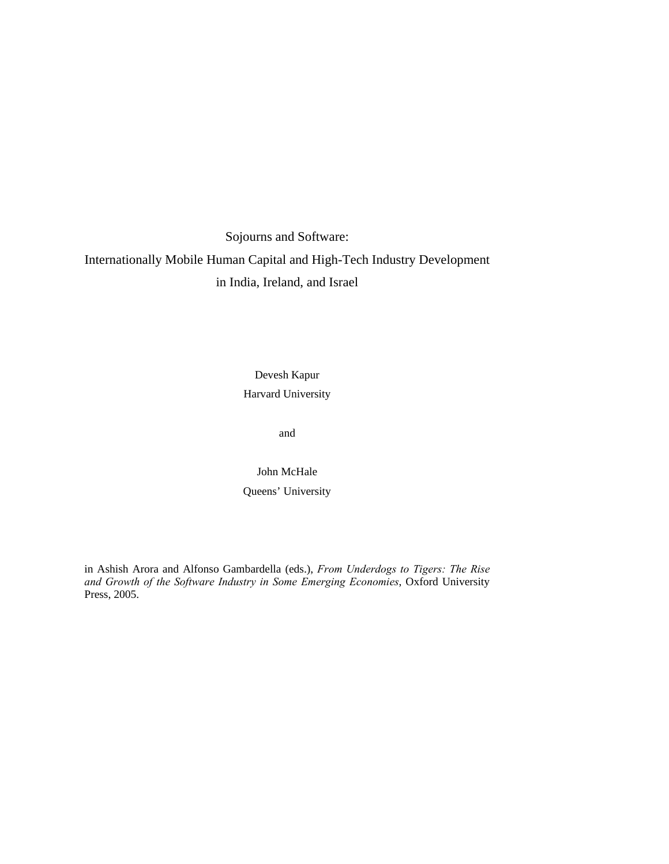Sojourns and Software: Internationally Mobile Human Capital and High-Tech Industry Development in India, Ireland, and Israel

> Devesh Kapur Harvard University

> > and

John McHale Queens' University

in Ashish Arora and Alfonso Gambardella (eds.), *From Underdogs to Tigers: The Rise and Growth of the Software Industry in Some Emerging Economies*, Oxford University Press, 2005.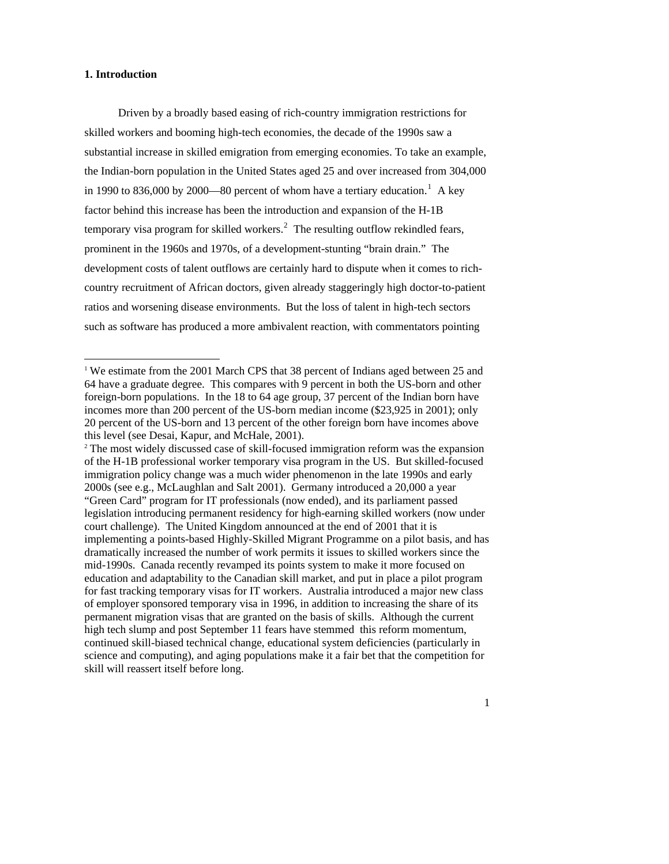# **1. Introduction**

 $\overline{a}$ 

Driven by a broadly based easing of rich-country immigration restrictions for skilled workers and booming high-tech economies, the decade of the 1990s saw a substantial increase in skilled emigration from emerging economies. To take an example, the Indian-born population in the United States aged 25 and over increased from 304,000 in [1](#page-1-0)990 to 836,000 by 2000—80 percent of whom have a tertiary education.<sup>1</sup> A key factor behind this increase has been the introduction and expansion of the H-1B temporary visa program for skilled workers. $^2$  $^2$  The resulting outflow rekindled fears, prominent in the 1960s and 1970s, of a development-stunting "brain drain." The development costs of talent outflows are certainly hard to dispute when it comes to richcountry recruitment of African doctors, given already staggeringly high doctor-to-patient ratios and worsening disease environments. But the loss of talent in high-tech sectors such as software has produced a more ambivalent reaction, with commentators pointing

<sup>&</sup>lt;sup>1</sup> We estimate from the 2001 March CPS that 38 percent of Indians aged between 25 and 64 have a graduate degree. This compares with 9 percent in both the US-born and other foreign-born populations. In the 18 to 64 age group, 37 percent of the Indian born have incomes more than 200 percent of the US-born median income (\$23,925 in 2001); only 20 percent of the US-born and 13 percent of the other foreign born have incomes above this level (see Desai, Kapur, and McHale, 2001).

<span id="page-1-1"></span><span id="page-1-0"></span><sup>&</sup>lt;sup>2</sup> The most widely discussed case of skill-focused immigration reform was the expansion of the H-1B professional worker temporary visa program in the US. But skilled-focused immigration policy change was a much wider phenomenon in the late 1990s and early 2000s (see e.g., McLaughlan and Salt 2001). Germany introduced a 20,000 a year "Green Card" program for IT professionals (now ended), and its parliament passed legislation introducing permanent residency for high-earning skilled workers (now under court challenge). The United Kingdom announced at the end of 2001 that it is implementing a points-based Highly-Skilled Migrant Programme on a pilot basis, and has dramatically increased the number of work permits it issues to skilled workers since the mid-1990s. Canada recently revamped its points system to make it more focused on education and adaptability to the Canadian skill market, and put in place a pilot program for fast tracking temporary visas for IT workers. Australia introduced a major new class of employer sponsored temporary visa in 1996, in addition to increasing the share of its permanent migration visas that are granted on the basis of skills. Although the current high tech slump and post September 11 fears have stemmed this reform momentum, continued skill-biased technical change, educational system deficiencies (particularly in science and computing), and aging populations make it a fair bet that the competition for skill will reassert itself before long.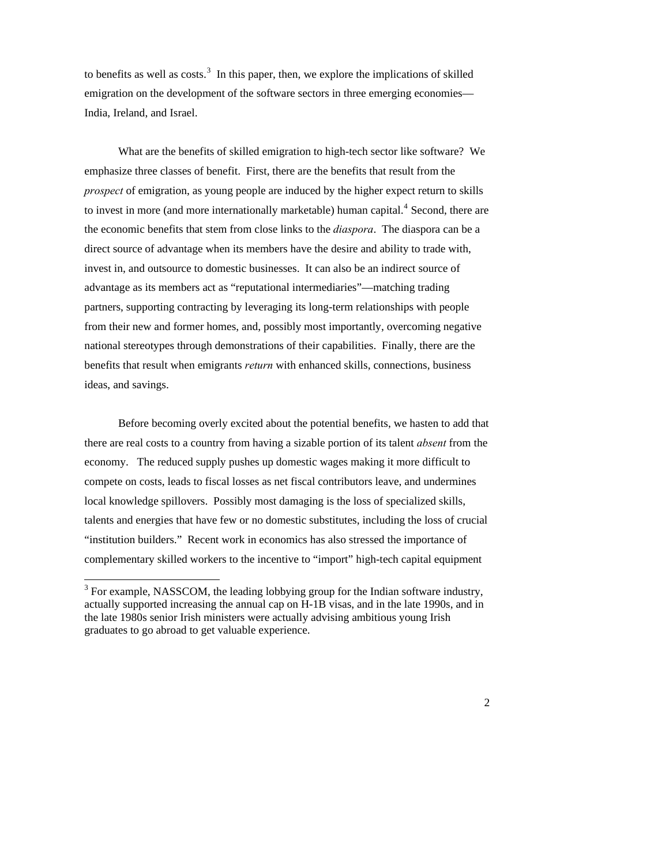to benefits as well as costs.<sup>[3](#page-2-0)</sup> In this paper, then, we explore the implications of skilled emigration on the development of the software sectors in three emerging economies— India, Ireland, and Israel.

What are the benefits of skilled emigration to high-tech sector like software? We emphasize three classes of benefit. First, there are the benefits that result from the *prospect* of emigration, as young people are induced by the higher expect return to skills to invest in more (and more internationally marketable) human capital.<sup>[4](#page-2-1)</sup> Second, there are the economic benefits that stem from close links to the *diaspora*. The diaspora can be a direct source of advantage when its members have the desire and ability to trade with, invest in, and outsource to domestic businesses. It can also be an indirect source of advantage as its members act as "reputational intermediaries"—matching trading partners, supporting contracting by leveraging its long-term relationships with people from their new and former homes, and, possibly most importantly, overcoming negative national stereotypes through demonstrations of their capabilities. Finally, there are the benefits that result when emigrants *return* with enhanced skills, connections, business ideas, and savings.

Before becoming overly excited about the potential benefits, we hasten to add that there are real costs to a country from having a sizable portion of its talent *absent* from the economy. The reduced supply pushes up domestic wages making it more difficult to compete on costs, leads to fiscal losses as net fiscal contributors leave, and undermines local knowledge spillovers. Possibly most damaging is the loss of specialized skills, talents and energies that have few or no domestic substitutes, including the loss of crucial "institution builders." Recent work in economics has also stressed the importance of complementary skilled workers to the incentive to "import" high-tech capital equipment

<span id="page-2-1"></span><span id="page-2-0"></span> $3$  For example, NASSCOM, the leading lobbying group for the Indian software industry, actually supported increasing the annual cap on H-1B visas, and in the late 1990s, and in the late 1980s senior Irish ministers were actually advising ambitious young Irish graduates to go abroad to get valuable experience.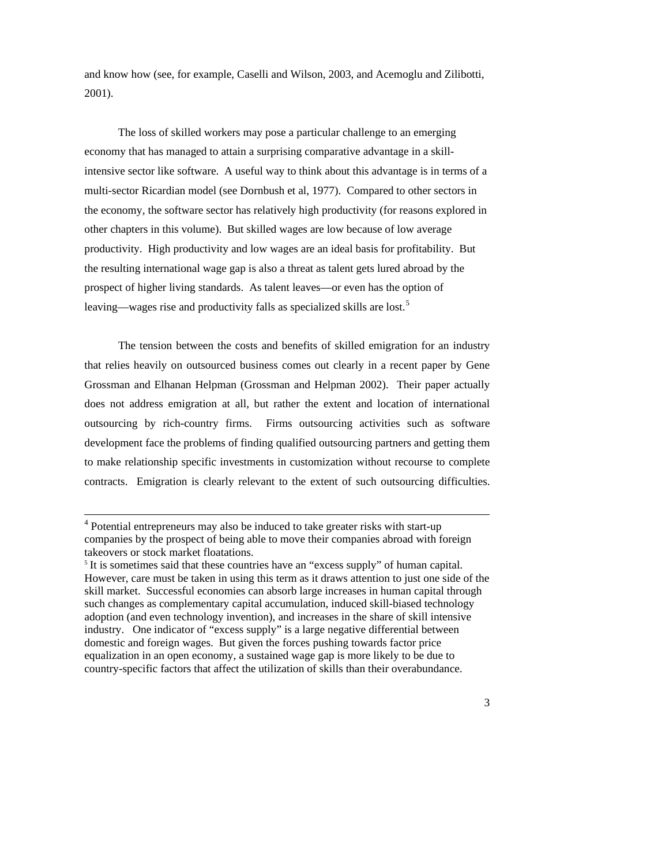and know how (see, for example, Caselli and Wilson, 2003, and Acemoglu and Zilibotti, 2001).

The loss of skilled workers may pose a particular challenge to an emerging economy that has managed to attain a surprising comparative advantage in a skillintensive sector like software. A useful way to think about this advantage is in terms of a multi-sector Ricardian model (see Dornbush et al, 1977). Compared to other sectors in the economy, the software sector has relatively high productivity (for reasons explored in other chapters in this volume). But skilled wages are low because of low average productivity. High productivity and low wages are an ideal basis for profitability. But the resulting international wage gap is also a threat as talent gets lured abroad by the prospect of higher living standards. As talent leaves—or even has the option of leaving—wages rise and productivity falls as specialized skills are lost.<sup>[5](#page-3-0)</sup>

The tension between the costs and benefits of skilled emigration for an industry that relies heavily on outsourced business comes out clearly in a recent paper by Gene Grossman and Elhanan Helpman (Grossman and Helpman 2002). Their paper actually does not address emigration at all, but rather the extent and location of international outsourcing by rich-country firms. Firms outsourcing activities such as software development face the problems of finding qualified outsourcing partners and getting them to make relationship specific investments in customization without recourse to complete contracts. Emigration is clearly relevant to the extent of such outsourcing difficulties.

 $\overline{a}$ 

<sup>&</sup>lt;sup>4</sup> Potential entrepreneurs may also be induced to take greater risks with start-up companies by the prospect of being able to move their companies abroad with foreign takeovers or stock market floatations.

<span id="page-3-0"></span> $<sup>5</sup>$  It is sometimes said that these countries have an "excess supply" of human capital.</sup> However, care must be taken in using this term as it draws attention to just one side of the skill market. Successful economies can absorb large increases in human capital through such changes as complementary capital accumulation, induced skill-biased technology adoption (and even technology invention), and increases in the share of skill intensive industry. One indicator of "excess supply" is a large negative differential between domestic and foreign wages. But given the forces pushing towards factor price equalization in an open economy, a sustained wage gap is more likely to be due to country-specific factors that affect the utilization of skills than their overabundance.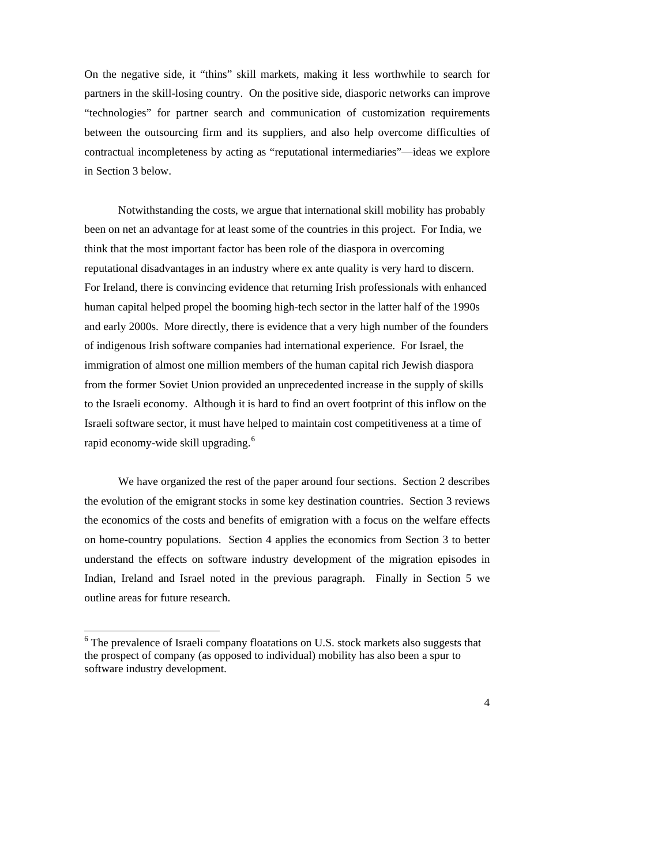On the negative side, it "thins" skill markets, making it less worthwhile to search for partners in the skill-losing country. On the positive side, diasporic networks can improve "technologies" for partner search and communication of customization requirements between the outsourcing firm and its suppliers, and also help overcome difficulties of contractual incompleteness by acting as "reputational intermediaries"—ideas we explore in Section 3 below.

Notwithstanding the costs, we argue that international skill mobility has probably been on net an advantage for at least some of the countries in this project. For India, we think that the most important factor has been role of the diaspora in overcoming reputational disadvantages in an industry where ex ante quality is very hard to discern. For Ireland, there is convincing evidence that returning Irish professionals with enhanced human capital helped propel the booming high-tech sector in the latter half of the 1990s and early 2000s. More directly, there is evidence that a very high number of the founders of indigenous Irish software companies had international experience. For Israel, the immigration of almost one million members of the human capital rich Jewish diaspora from the former Soviet Union provided an unprecedented increase in the supply of skills to the Israeli economy. Although it is hard to find an overt footprint of this inflow on the Israeli software sector, it must have helped to maintain cost competitiveness at a time of rapid economy-wide skill upgrading.<sup>[6](#page-4-0)</sup>

We have organized the rest of the paper around four sections. Section 2 describes the evolution of the emigrant stocks in some key destination countries. Section 3 reviews the economics of the costs and benefits of emigration with a focus on the welfare effects on home-country populations. Section 4 applies the economics from Section 3 to better understand the effects on software industry development of the migration episodes in Indian, Ireland and Israel noted in the previous paragraph. Finally in Section 5 we outline areas for future research.

<span id="page-4-0"></span><sup>&</sup>lt;sup>6</sup> The prevalence of Israeli company floatations on U.S. stock markets also suggests that the prospect of company (as opposed to individual) mobility has also been a spur to software industry development.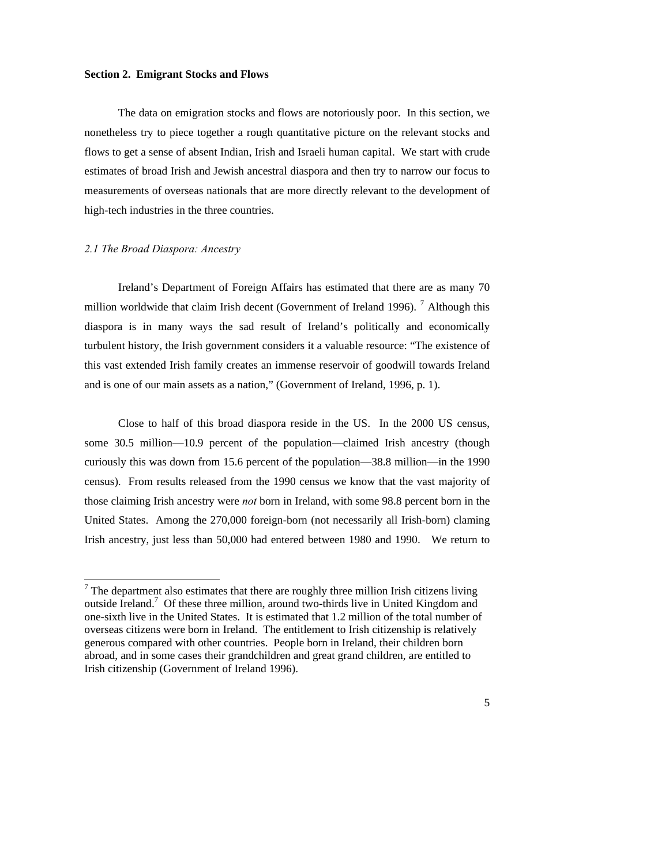### **Section 2. Emigrant Stocks and Flows**

The data on emigration stocks and flows are notoriously poor. In this section, we nonetheless try to piece together a rough quantitative picture on the relevant stocks and flows to get a sense of absent Indian, Irish and Israeli human capital. We start with crude estimates of broad Irish and Jewish ancestral diaspora and then try to narrow our focus to measurements of overseas nationals that are more directly relevant to the development of high-tech industries in the three countries.

## *2.1 The Broad Diaspora: Ancestry*

 $\overline{a}$ 

 Ireland's Department of Foreign Affairs has estimated that there are as many 70 million worldwide that claim Irish decent (Government of Ireland 1996). <sup>[7](#page-5-0)</sup> Although this diaspora is in many ways the sad result of Ireland's politically and economically turbulent history, the Irish government considers it a valuable resource: "The existence of this vast extended Irish family creates an immense reservoir of goodwill towards Ireland and is one of our main assets as a nation," (Government of Ireland, 1996, p. 1).

 Close to half of this broad diaspora reside in the US. In the 2000 US census, some 30.5 million—10.9 percent of the population—claimed Irish ancestry (though curiously this was down from 15.6 percent of the population—38.8 million—in the 1990 census). From results released from the 1990 census we know that the vast majority of those claiming Irish ancestry were *not* born in Ireland, with some 98.8 percent born in the United States. Among the 270,000 foreign-born (not necessarily all Irish-born) claming Irish ancestry, just less than 50,000 had entered between 1980 and 1990. We return to

<span id="page-5-0"></span> $<sup>7</sup>$  The department also estimates that there are roughly three million Irish citizens living</sup> outside Ireland.<sup>7</sup> Of these three million, around two-thirds live in United Kingdom and one-sixth live in the United States. It is estimated that 1.2 million of the total number of overseas citizens were born in Ireland. The entitlement to Irish citizenship is relatively generous compared with other countries. People born in Ireland, their children born abroad, and in some cases their grandchildren and great grand children, are entitled to Irish citizenship (Government of Ireland 1996).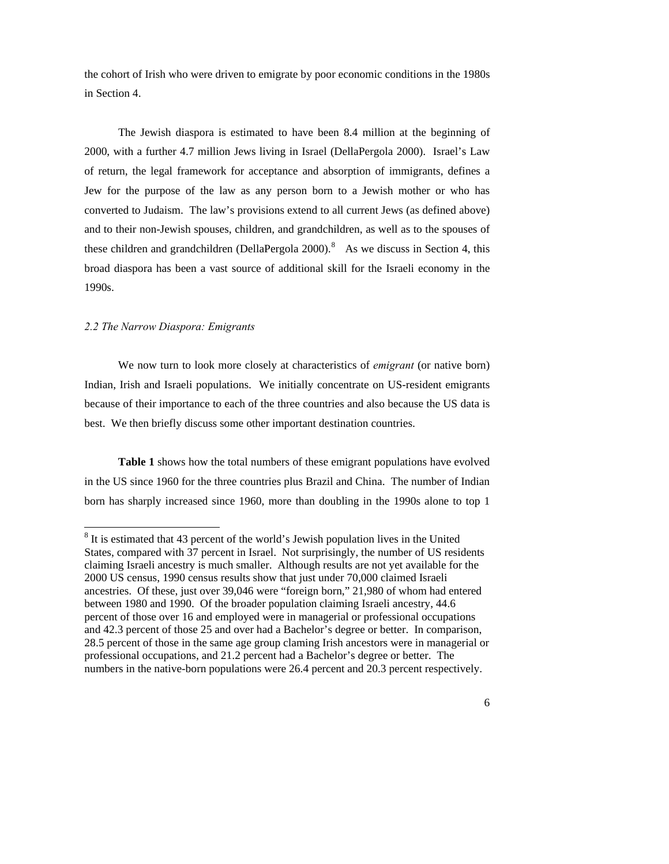the cohort of Irish who were driven to emigrate by poor economic conditions in the 1980s in Section 4.

 The Jewish diaspora is estimated to have been 8.4 million at the beginning of 2000, with a further 4.7 million Jews living in Israel (DellaPergola 2000). Israel's Law of return, the legal framework for acceptance and absorption of immigrants, defines a Jew for the purpose of the law as any person born to a Jewish mother or who has converted to Judaism. The law's provisions extend to all current Jews (as defined above) and to their non-Jewish spouses, children, and grandchildren, as well as to the spouses of these children and grandchildren (DellaPergola 2000).<sup>[8](#page-6-0)</sup> As we discuss in Section 4, this broad diaspora has been a vast source of additional skill for the Israeli economy in the 1990s.

### *2.2 The Narrow Diaspora: Emigrants*

 $\overline{a}$ 

 We now turn to look more closely at characteristics of *emigrant* (or native born) Indian, Irish and Israeli populations. We initially concentrate on US-resident emigrants because of their importance to each of the three countries and also because the US data is best. We then briefly discuss some other important destination countries.

**Table 1** shows how the total numbers of these emigrant populations have evolved in the US since 1960 for the three countries plus Brazil and China. The number of Indian born has sharply increased since 1960, more than doubling in the 1990s alone to top 1

<span id="page-6-0"></span> $8$  It is estimated that 43 percent of the world's Jewish population lives in the United States, compared with 37 percent in Israel. Not surprisingly, the number of US residents claiming Israeli ancestry is much smaller. Although results are not yet available for the 2000 US census, 1990 census results show that just under 70,000 claimed Israeli ancestries. Of these, just over 39,046 were "foreign born," 21,980 of whom had entered between 1980 and 1990. Of the broader population claiming Israeli ancestry, 44.6 percent of those over 16 and employed were in managerial or professional occupations and 42.3 percent of those 25 and over had a Bachelor's degree or better. In comparison, 28.5 percent of those in the same age group claming Irish ancestors were in managerial or professional occupations, and 21.2 percent had a Bachelor's degree or better. The numbers in the native-born populations were 26.4 percent and 20.3 percent respectively.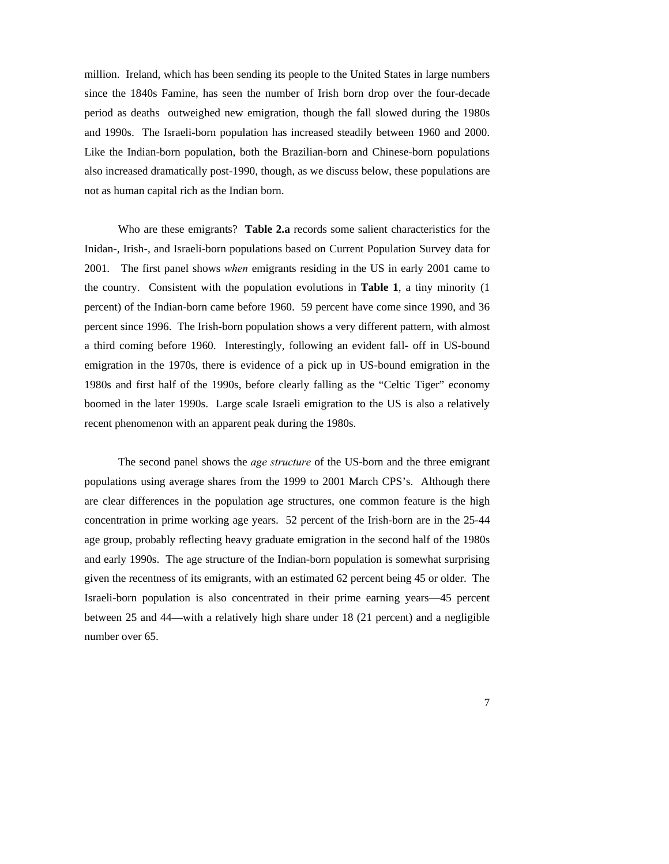million. Ireland, which has been sending its people to the United States in large numbers since the 1840s Famine, has seen the number of Irish born drop over the four-decade period as deaths outweighed new emigration, though the fall slowed during the 1980s and 1990s. The Israeli-born population has increased steadily between 1960 and 2000. Like the Indian-born population, both the Brazilian-born and Chinese-born populations also increased dramatically post-1990, though, as we discuss below, these populations are not as human capital rich as the Indian born.

 Who are these emigrants? **Table 2.a** records some salient characteristics for the Inidan-, Irish-, and Israeli-born populations based on Current Population Survey data for 2001. The first panel shows *when* emigrants residing in the US in early 2001 came to the country. Consistent with the population evolutions in **Table 1**, a tiny minority (1 percent) of the Indian-born came before 1960. 59 percent have come since 1990, and 36 percent since 1996. The Irish-born population shows a very different pattern, with almost a third coming before 1960. Interestingly, following an evident fall- off in US-bound emigration in the 1970s, there is evidence of a pick up in US-bound emigration in the 1980s and first half of the 1990s, before clearly falling as the "Celtic Tiger" economy boomed in the later 1990s. Large scale Israeli emigration to the US is also a relatively recent phenomenon with an apparent peak during the 1980s.

 The second panel shows the *age structure* of the US-born and the three emigrant populations using average shares from the 1999 to 2001 March CPS's. Although there are clear differences in the population age structures, one common feature is the high concentration in prime working age years. 52 percent of the Irish-born are in the 25-44 age group, probably reflecting heavy graduate emigration in the second half of the 1980s and early 1990s. The age structure of the Indian-born population is somewhat surprising given the recentness of its emigrants, with an estimated 62 percent being 45 or older. The Israeli-born population is also concentrated in their prime earning years—45 percent between 25 and 44—with a relatively high share under 18 (21 percent) and a negligible number over 65.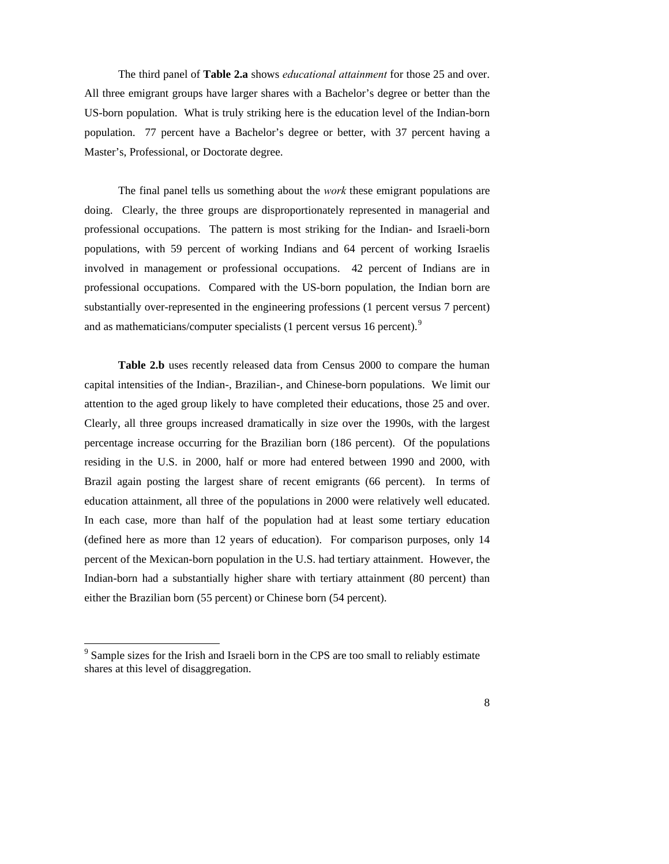The third panel of **Table 2.a** shows *educational attainment* for those 25 and over. All three emigrant groups have larger shares with a Bachelor's degree or better than the US-born population. What is truly striking here is the education level of the Indian-born population. 77 percent have a Bachelor's degree or better, with 37 percent having a Master's, Professional, or Doctorate degree.

 The final panel tells us something about the *work* these emigrant populations are doing. Clearly, the three groups are disproportionately represented in managerial and professional occupations. The pattern is most striking for the Indian- and Israeli-born populations, with 59 percent of working Indians and 64 percent of working Israelis involved in management or professional occupations. 42 percent of Indians are in professional occupations. Compared with the US-born population, the Indian born are substantially over-represented in the engineering professions (1 percent versus 7 percent) and as mathematicians/computer specialists (1 percent versus 16 percent).<sup>[9](#page-8-0)</sup>

**Table 2.b** uses recently released data from Census 2000 to compare the human capital intensities of the Indian-, Brazilian-, and Chinese-born populations. We limit our attention to the aged group likely to have completed their educations, those 25 and over. Clearly, all three groups increased dramatically in size over the 1990s, with the largest percentage increase occurring for the Brazilian born (186 percent). Of the populations residing in the U.S. in 2000, half or more had entered between 1990 and 2000, with Brazil again posting the largest share of recent emigrants (66 percent). In terms of education attainment, all three of the populations in 2000 were relatively well educated. In each case, more than half of the population had at least some tertiary education (defined here as more than 12 years of education). For comparison purposes, only 14 percent of the Mexican-born population in the U.S. had tertiary attainment. However, the Indian-born had a substantially higher share with tertiary attainment (80 percent) than either the Brazilian born (55 percent) or Chinese born (54 percent).

<span id="page-8-0"></span><sup>&</sup>lt;sup>9</sup> Sample sizes for the Irish and Israeli born in the CPS are too small to reliably estimate shares at this level of disaggregation.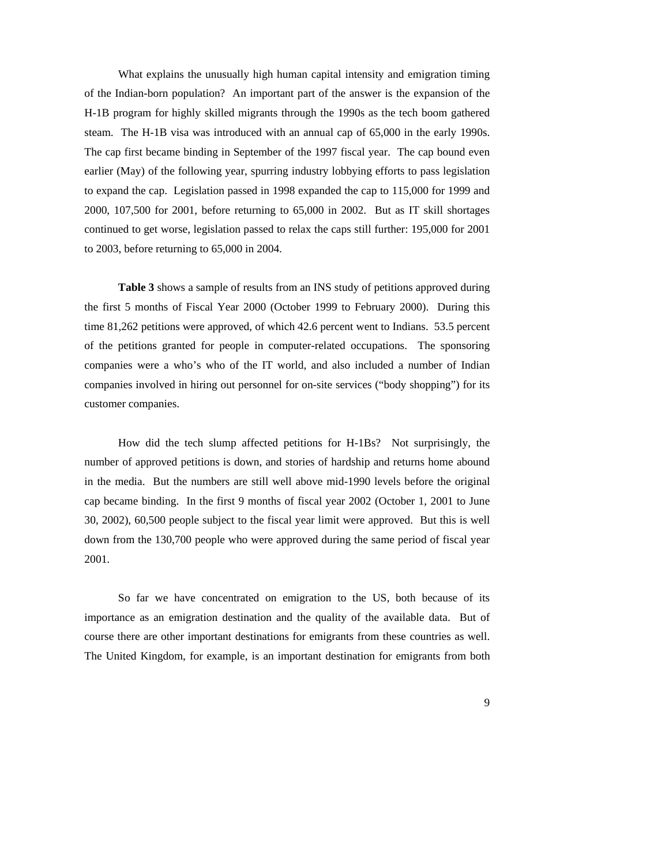What explains the unusually high human capital intensity and emigration timing of the Indian-born population? An important part of the answer is the expansion of the H-1B program for highly skilled migrants through the 1990s as the tech boom gathered steam. The H-1B visa was introduced with an annual cap of 65,000 in the early 1990s. The cap first became binding in September of the 1997 fiscal year. The cap bound even earlier (May) of the following year, spurring industry lobbying efforts to pass legislation to expand the cap. Legislation passed in 1998 expanded the cap to 115,000 for 1999 and 2000, 107,500 for 2001, before returning to 65,000 in 2002. But as IT skill shortages continued to get worse, legislation passed to relax the caps still further: 195,000 for 2001 to 2003, before returning to 65,000 in 2004.

**Table 3** shows a sample of results from an INS study of petitions approved during the first 5 months of Fiscal Year 2000 (October 1999 to February 2000). During this time 81,262 petitions were approved, of which 42.6 percent went to Indians. 53.5 percent of the petitions granted for people in computer-related occupations. The sponsoring companies were a who's who of the IT world, and also included a number of Indian companies involved in hiring out personnel for on-site services ("body shopping") for its customer companies.

 How did the tech slump affected petitions for H-1Bs? Not surprisingly, the number of approved petitions is down, and stories of hardship and returns home abound in the media. But the numbers are still well above mid-1990 levels before the original cap became binding. In the first 9 months of fiscal year 2002 (October 1, 2001 to June 30, 2002), 60,500 people subject to the fiscal year limit were approved. But this is well down from the 130,700 people who were approved during the same period of fiscal year 2001.

 So far we have concentrated on emigration to the US, both because of its importance as an emigration destination and the quality of the available data. But of course there are other important destinations for emigrants from these countries as well. The United Kingdom, for example, is an important destination for emigrants from both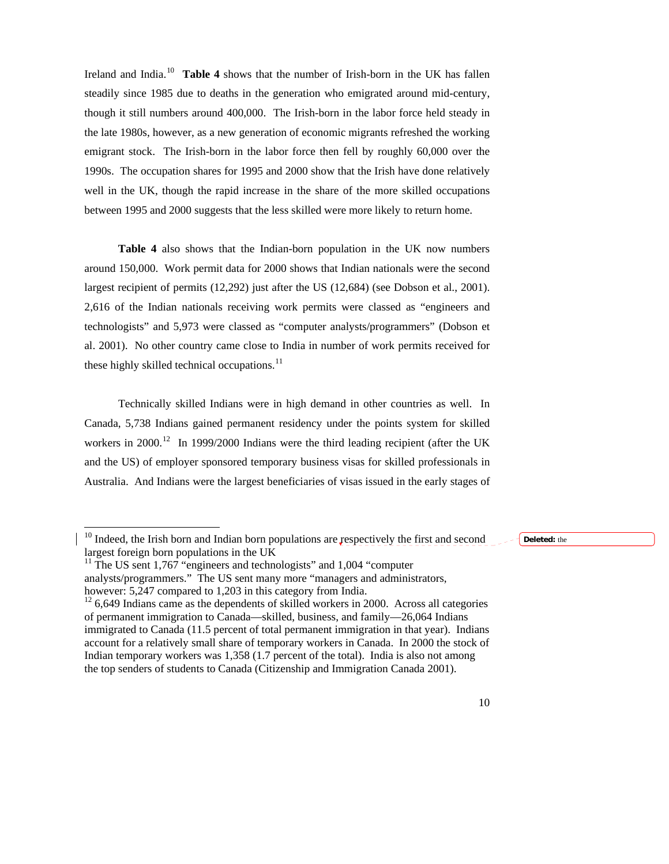Ireland and India.[10](#page-10-0) **Table 4** shows that the number of Irish-born in the UK has fallen steadily since 1985 due to deaths in the generation who emigrated around mid-century, though it still numbers around 400,000. The Irish-born in the labor force held steady in the late 1980s, however, as a new generation of economic migrants refreshed the working emigrant stock. The Irish-born in the labor force then fell by roughly 60,000 over the 1990s. The occupation shares for 1995 and 2000 show that the Irish have done relatively well in the UK, though the rapid increase in the share of the more skilled occupations between 1995 and 2000 suggests that the less skilled were more likely to return home.

**Table 4** also shows that the Indian-born population in the UK now numbers around 150,000. Work permit data for 2000 shows that Indian nationals were the second largest recipient of permits (12,292) just after the US (12,684) (see Dobson et al., 2001). 2,616 of the Indian nationals receiving work permits were classed as "engineers and technologists" and 5,973 were classed as "computer analysts/programmers" (Dobson et al. 2001). No other country came close to India in number of work permits received for these highly skilled technical occupations. $^{11}$  $^{11}$  $^{11}$ 

 Technically skilled Indians were in high demand in other countries as well. In Canada, 5,738 Indians gained permanent residency under the points system for skilled workers in 2000.<sup>[12](#page-10-2)</sup> In 1999/2000 Indians were the third leading recipient (after the UK and the US) of employer sponsored temporary business visas for skilled professionals in Australia. And Indians were the largest beneficiaries of visas issued in the early stages of

 $\overline{a}$ 

**Deleted:** the

 $10$  Indeed, the Irish born and Indian born populations are respectively the first and second largest foreign born populations in the UK

<sup>&</sup>lt;sup>11</sup> The US sent 1,767 "engineers and technologists" and 1,004 "computer analysts/programmers." The US sent many more "managers and administrators, however: 5,247 compared to 1,203 in this category from India.

<span id="page-10-2"></span><span id="page-10-1"></span><span id="page-10-0"></span> $12$  6,649 Indians came as the dependents of skilled workers in 2000. Across all categories of permanent immigration to Canada—skilled, business, and family—26,064 Indians immigrated to Canada (11.5 percent of total permanent immigration in that year). Indians account for a relatively small share of temporary workers in Canada. In 2000 the stock of Indian temporary workers was 1,358 (1.7 percent of the total). India is also not among the top senders of students to Canada (Citizenship and Immigration Canada 2001).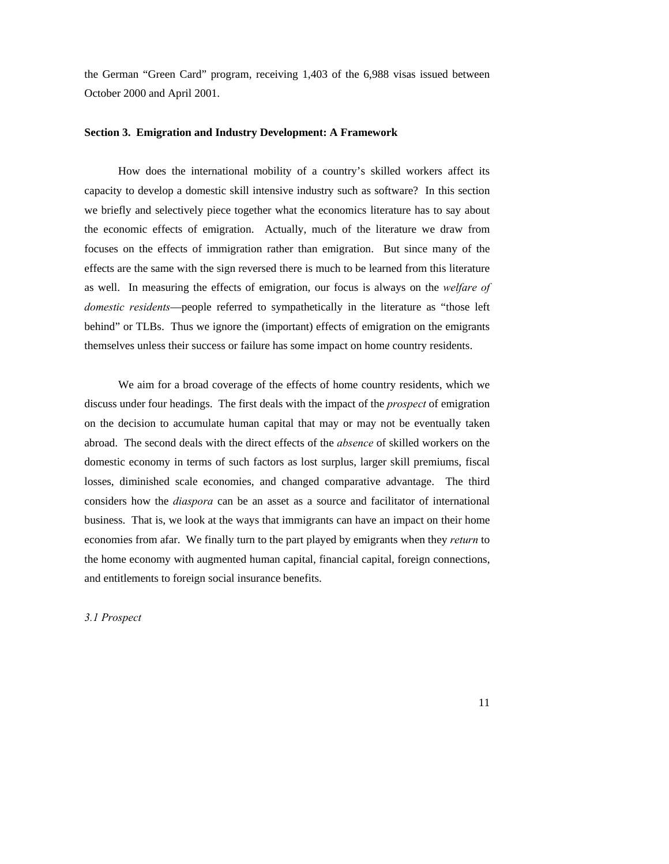the German "Green Card" program, receiving 1,403 of the 6,988 visas issued between October 2000 and April 2001.

### **Section 3. Emigration and Industry Development: A Framework**

How does the international mobility of a country's skilled workers affect its capacity to develop a domestic skill intensive industry such as software? In this section we briefly and selectively piece together what the economics literature has to say about the economic effects of emigration. Actually, much of the literature we draw from focuses on the effects of immigration rather than emigration. But since many of the effects are the same with the sign reversed there is much to be learned from this literature as well. In measuring the effects of emigration, our focus is always on the *welfare of domestic residents*—people referred to sympathetically in the literature as "those left behind" or TLBs. Thus we ignore the (important) effects of emigration on the emigrants themselves unless their success or failure has some impact on home country residents.

 We aim for a broad coverage of the effects of home country residents, which we discuss under four headings. The first deals with the impact of the *prospect* of emigration on the decision to accumulate human capital that may or may not be eventually taken abroad. The second deals with the direct effects of the *absence* of skilled workers on the domestic economy in terms of such factors as lost surplus, larger skill premiums, fiscal losses, diminished scale economies, and changed comparative advantage. The third considers how the *diaspora* can be an asset as a source and facilitator of international business. That is, we look at the ways that immigrants can have an impact on their home economies from afar. We finally turn to the part played by emigrants when they *return* to the home economy with augmented human capital, financial capital, foreign connections, and entitlements to foreign social insurance benefits.

# *3.1 Prospect*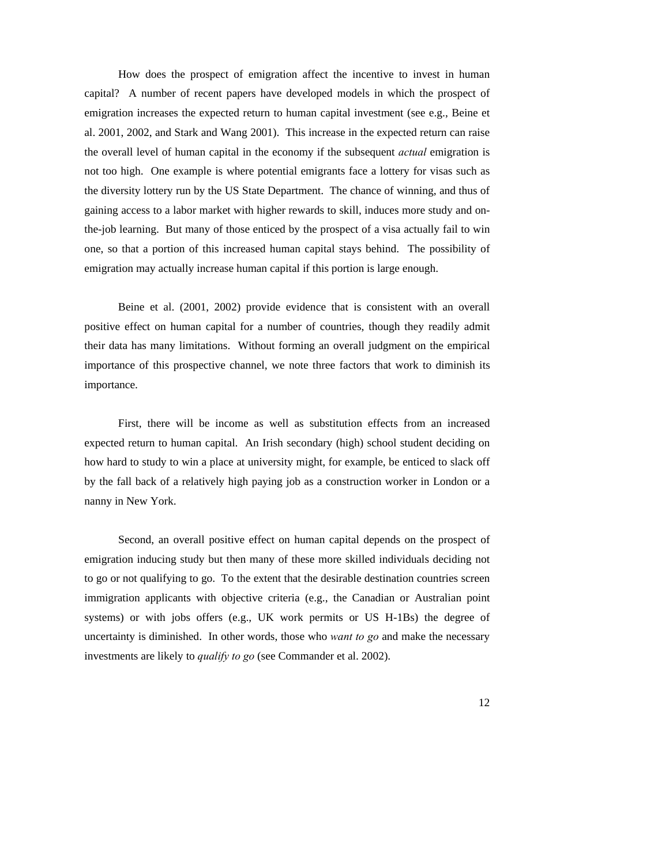How does the prospect of emigration affect the incentive to invest in human capital? A number of recent papers have developed models in which the prospect of emigration increases the expected return to human capital investment (see e.g., Beine et al. 2001, 2002, and Stark and Wang 2001). This increase in the expected return can raise the overall level of human capital in the economy if the subsequent *actual* emigration is not too high. One example is where potential emigrants face a lottery for visas such as the diversity lottery run by the US State Department. The chance of winning, and thus of gaining access to a labor market with higher rewards to skill, induces more study and onthe-job learning. But many of those enticed by the prospect of a visa actually fail to win one, so that a portion of this increased human capital stays behind. The possibility of emigration may actually increase human capital if this portion is large enough.

 Beine et al. (2001, 2002) provide evidence that is consistent with an overall positive effect on human capital for a number of countries, though they readily admit their data has many limitations. Without forming an overall judgment on the empirical importance of this prospective channel, we note three factors that work to diminish its importance.

 First, there will be income as well as substitution effects from an increased expected return to human capital. An Irish secondary (high) school student deciding on how hard to study to win a place at university might, for example, be enticed to slack off by the fall back of a relatively high paying job as a construction worker in London or a nanny in New York.

 Second, an overall positive effect on human capital depends on the prospect of emigration inducing study but then many of these more skilled individuals deciding not to go or not qualifying to go. To the extent that the desirable destination countries screen immigration applicants with objective criteria (e.g., the Canadian or Australian point systems) or with jobs offers (e.g., UK work permits or US H-1Bs) the degree of uncertainty is diminished. In other words, those who *want to go* and make the necessary investments are likely to *qualify to go* (see Commander et al. 2002).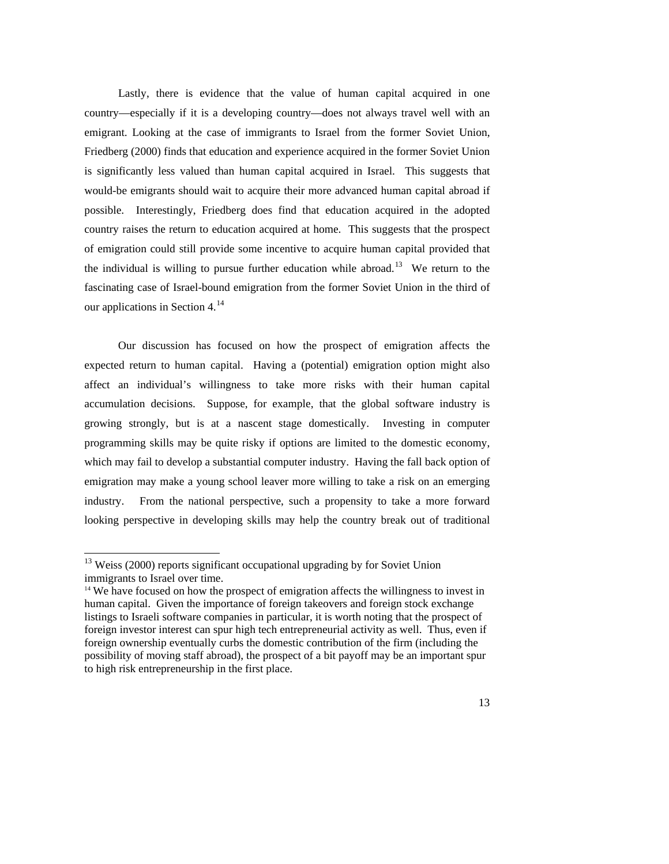Lastly, there is evidence that the value of human capital acquired in one country—especially if it is a developing country—does not always travel well with an emigrant. Looking at the case of immigrants to Israel from the former Soviet Union, Friedberg (2000) finds that education and experience acquired in the former Soviet Union is significantly less valued than human capital acquired in Israel. This suggests that would-be emigrants should wait to acquire their more advanced human capital abroad if possible. Interestingly, Friedberg does find that education acquired in the adopted country raises the return to education acquired at home. This suggests that the prospect of emigration could still provide some incentive to acquire human capital provided that the individual is willing to pursue further education while abroad.<sup>[13](#page-13-0)</sup> We return to the fascinating case of Israel-bound emigration from the former Soviet Union in the third of our applications in Section 4.[14](#page-13-1)

 Our discussion has focused on how the prospect of emigration affects the expected return to human capital. Having a (potential) emigration option might also affect an individual's willingness to take more risks with their human capital accumulation decisions. Suppose, for example, that the global software industry is growing strongly, but is at a nascent stage domestically. Investing in computer programming skills may be quite risky if options are limited to the domestic economy, which may fail to develop a substantial computer industry. Having the fall back option of emigration may make a young school leaver more willing to take a risk on an emerging industry. From the national perspective, such a propensity to take a more forward looking perspective in developing skills may help the country break out of traditional

 $\overline{a}$ 

 $13$  Weiss (2000) reports significant occupational upgrading by for Soviet Union immigrants to Israel over time.

<span id="page-13-1"></span><span id="page-13-0"></span> $14$  We have focused on how the prospect of emigration affects the willingness to invest in human capital. Given the importance of foreign takeovers and foreign stock exchange listings to Israeli software companies in particular, it is worth noting that the prospect of foreign investor interest can spur high tech entrepreneurial activity as well. Thus, even if foreign ownership eventually curbs the domestic contribution of the firm (including the possibility of moving staff abroad), the prospect of a bit payoff may be an important spur to high risk entrepreneurship in the first place.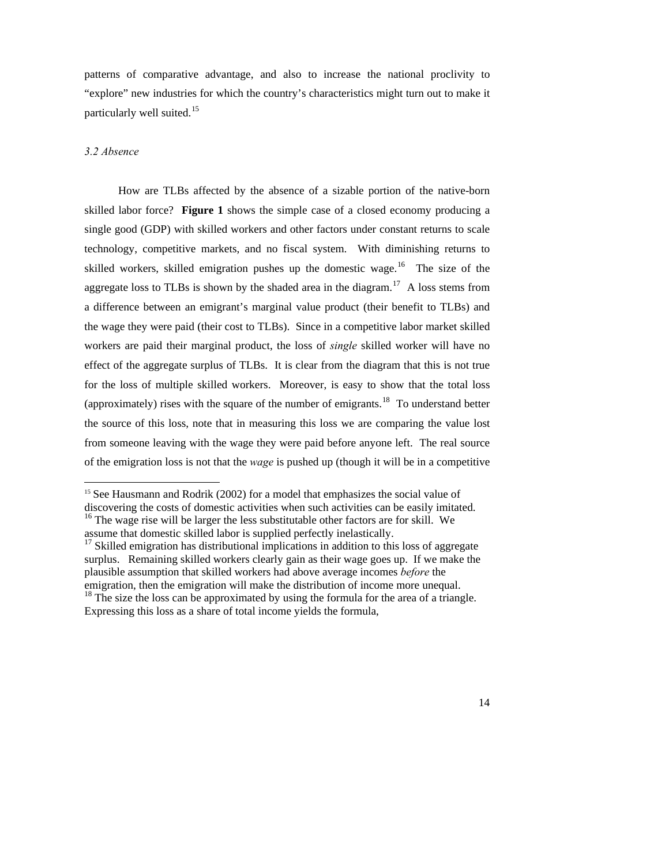patterns of comparative advantage, and also to increase the national proclivity to "explore" new industries for which the country's characteristics might turn out to make it particularly well suited.[15](#page-14-0)

# *3.2 Absence*

l

 How are TLBs affected by the absence of a sizable portion of the native-born skilled labor force? **Figure 1** shows the simple case of a closed economy producing a single good (GDP) with skilled workers and other factors under constant returns to scale technology, competitive markets, and no fiscal system. With diminishing returns to skilled workers, skilled emigration pushes up the domestic wage.<sup>[16](#page-14-1)</sup> The size of the aggregate loss to TLBs is shown by the shaded area in the diagram.<sup>[17](#page-14-2)</sup> A loss stems from a difference between an emigrant's marginal value product (their benefit to TLBs) and the wage they were paid (their cost to TLBs). Since in a competitive labor market skilled workers are paid their marginal product, the loss of *single* skilled worker will have no effect of the aggregate surplus of TLBs. It is clear from the diagram that this is not true for the loss of multiple skilled workers. Moreover, is easy to show that the total loss (approximately) rises with the square of the number of emigrants.<sup>[18](#page-14-3)</sup> To understand better the source of this loss, note that in measuring this loss we are comparing the value lost from someone leaving with the wage they were paid before anyone left. The real source of the emigration loss is not that the *wage* is pushed up (though it will be in a competitive

<sup>&</sup>lt;sup>15</sup> See Hausmann and Rodrik (2002) for a model that emphasizes the social value of discovering the costs of domestic activities when such activities can be easily imitated. <sup>16</sup> The wage rise will be larger the less substitutable other factors are for skill. We assume that domestic skilled labor is supplied perfectly inelastically.

<sup>&</sup>lt;sup>17</sup> Skilled emigration has distributional implications in addition to this loss of aggregate surplus. Remaining skilled workers clearly gain as their wage goes up. If we make the plausible assumption that skilled workers had above average incomes *before* the emigration, then the emigration will make the distribution of income more unequal.

<span id="page-14-3"></span><span id="page-14-2"></span><span id="page-14-1"></span><span id="page-14-0"></span> $18$  The size the loss can be approximated by using the formula for the area of a triangle. Expressing this loss as a share of total income yields the formula,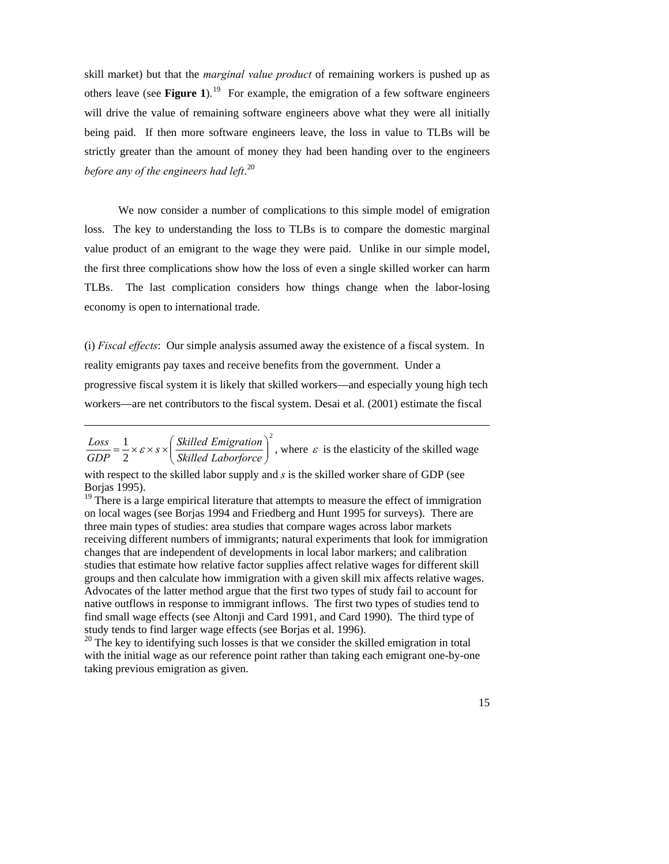skill market) but that the *marginal value product* of remaining workers is pushed up as others leave (see **Figure 1**).<sup>[19](#page-15-0)</sup> For example, the emigration of a few software engineers will drive the value of remaining software engineers above what they were all initially being paid. If then more software engineers leave, the loss in value to TLBs will be strictly greater than the amount of money they had been handing over to the engineers *before any of the engineers had left*. [20](#page-15-1)

 We now consider a number of complications to this simple model of emigration loss. The key to understanding the loss to TLBs is to compare the domestic marginal value product of an emigrant to the wage they were paid. Unlike in our simple model, the first three complications show how the loss of even a single skilled worker can harm TLBs. The last complication considers how things change when the labor-losing economy is open to international trade.

(i) *Fiscal effects*: Our simple analysis assumed away the existence of a fiscal system. In reality emigrants pay taxes and receive benefits from the government. Under a progressive fiscal system it is likely that skilled workers—and especially young high tech workers—are net contributors to the fiscal system. Desai et al. (2001) estimate the fiscal

$$
\frac{Loss}{GDP} = \frac{1}{2} \times \varepsilon \times s \times \left(\frac{Skilled\ Engineering}{Skilled\ Laboratory\ force}\right)^2
$$
, where  $\varepsilon$  is the elasticity of the skilled wage

with respect to the skilled labor supply and *s* is the skilled worker share of GDP (see Borjas 1995).

 $\overline{a}$ 

 $19$  There is a large empirical literature that attempts to measure the effect of immigration on local wages (see Borjas 1994 and Friedberg and Hunt 1995 for surveys). There are three main types of studies: area studies that compare wages across labor markets receiving different numbers of immigrants; natural experiments that look for immigration changes that are independent of developments in local labor markers; and calibration studies that estimate how relative factor supplies affect relative wages for different skill groups and then calculate how immigration with a given skill mix affects relative wages. Advocates of the latter method argue that the first two types of study fail to account for native outflows in response to immigrant inflows. The first two types of studies tend to find small wage effects (see Altonji and Card 1991, and Card 1990). The third type of study tends to find larger wage effects (see Borjas et al. 1996).

<span id="page-15-1"></span><span id="page-15-0"></span> $20$  The key to identifying such losses is that we consider the skilled emigration in total with the initial wage as our reference point rather than taking each emigrant one-by-one taking previous emigration as given.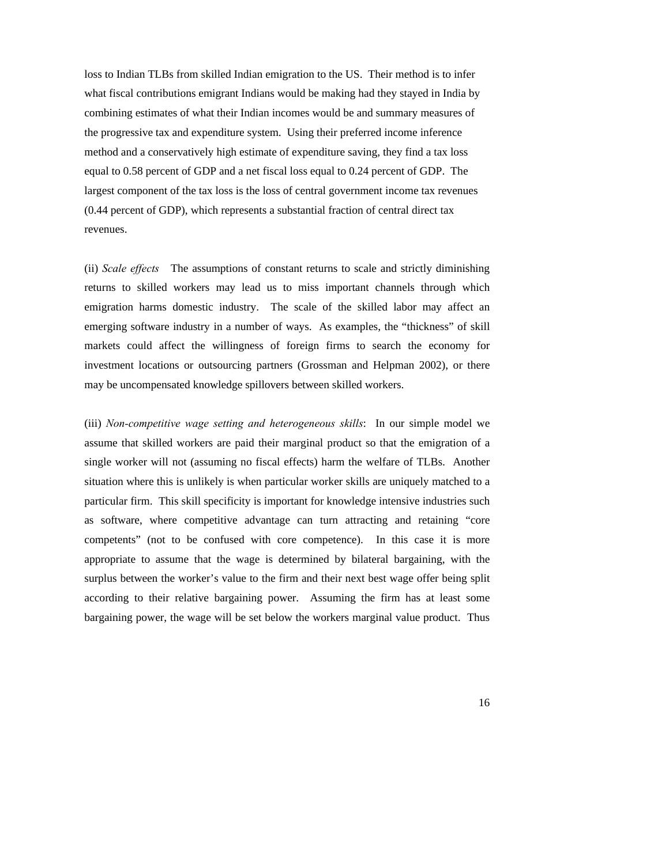loss to Indian TLBs from skilled Indian emigration to the US. Their method is to infer what fiscal contributions emigrant Indians would be making had they stayed in India by combining estimates of what their Indian incomes would be and summary measures of the progressive tax and expenditure system. Using their preferred income inference method and a conservatively high estimate of expenditure saving, they find a tax loss equal to 0.58 percent of GDP and a net fiscal loss equal to 0.24 percent of GDP. The largest component of the tax loss is the loss of central government income tax revenues (0.44 percent of GDP), which represents a substantial fraction of central direct tax revenues.

(ii) *Scale effects* The assumptions of constant returns to scale and strictly diminishing returns to skilled workers may lead us to miss important channels through which emigration harms domestic industry. The scale of the skilled labor may affect an emerging software industry in a number of ways. As examples, the "thickness" of skill markets could affect the willingness of foreign firms to search the economy for investment locations or outsourcing partners (Grossman and Helpman 2002), or there may be uncompensated knowledge spillovers between skilled workers.

(iii) *Non-competitive wage setting and heterogeneous skills*: In our simple model we assume that skilled workers are paid their marginal product so that the emigration of a single worker will not (assuming no fiscal effects) harm the welfare of TLBs. Another situation where this is unlikely is when particular worker skills are uniquely matched to a particular firm. This skill specificity is important for knowledge intensive industries such as software, where competitive advantage can turn attracting and retaining "core competents" (not to be confused with core competence). In this case it is more appropriate to assume that the wage is determined by bilateral bargaining, with the surplus between the worker's value to the firm and their next best wage offer being split according to their relative bargaining power. Assuming the firm has at least some bargaining power, the wage will be set below the workers marginal value product. Thus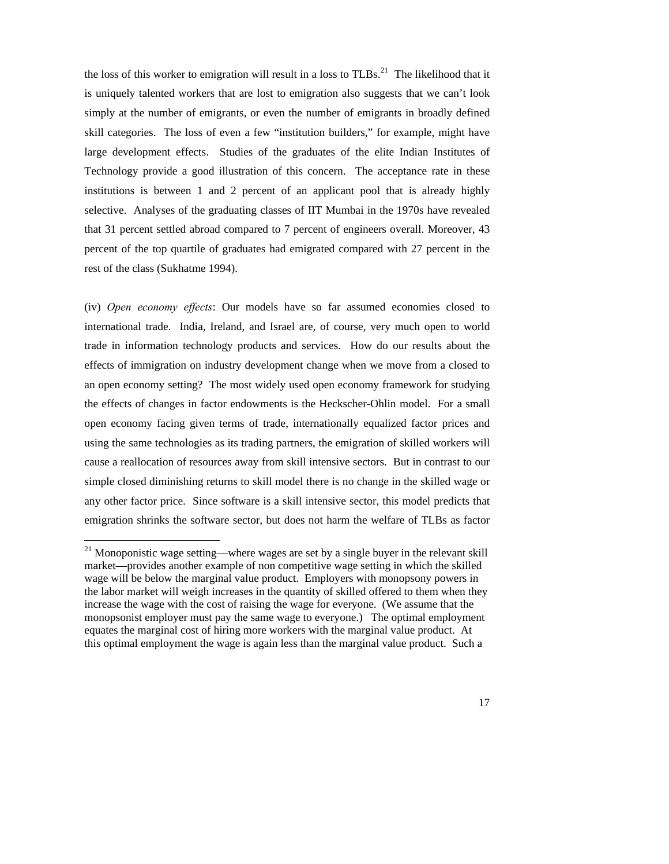the loss of this worker to emigration will result in a loss to  $TLBs$ <sup>[21](#page-17-0)</sup>. The likelihood that it is uniquely talented workers that are lost to emigration also suggests that we can't look simply at the number of emigrants, or even the number of emigrants in broadly defined skill categories. The loss of even a few "institution builders," for example, might have large development effects. Studies of the graduates of the elite Indian Institutes of Technology provide a good illustration of this concern. The acceptance rate in these institutions is between 1 and 2 percent of an applicant pool that is already highly selective. Analyses of the graduating classes of IIT Mumbai in the 1970s have revealed that 31 percent settled abroad compared to 7 percent of engineers overall. Moreover, 43 percent of the top quartile of graduates had emigrated compared with 27 percent in the rest of the class (Sukhatme 1994).

(iv) *Open economy effects*: Our models have so far assumed economies closed to international trade. India, Ireland, and Israel are, of course, very much open to world trade in information technology products and services. How do our results about the effects of immigration on industry development change when we move from a closed to an open economy setting? The most widely used open economy framework for studying the effects of changes in factor endowments is the Heckscher-Ohlin model. For a small open economy facing given terms of trade, internationally equalized factor prices and using the same technologies as its trading partners, the emigration of skilled workers will cause a reallocation of resources away from skill intensive sectors. But in contrast to our simple closed diminishing returns to skill model there is no change in the skilled wage or any other factor price. Since software is a skill intensive sector, this model predicts that emigration shrinks the software sector, but does not harm the welfare of TLBs as factor

<span id="page-17-0"></span> $21$  Monoponistic wage setting—where wages are set by a single buyer in the relevant skill market—provides another example of non competitive wage setting in which the skilled wage will be below the marginal value product. Employers with monopsony powers in the labor market will weigh increases in the quantity of skilled offered to them when they increase the wage with the cost of raising the wage for everyone. (We assume that the monopsonist employer must pay the same wage to everyone.) The optimal employment equates the marginal cost of hiring more workers with the marginal value product. At this optimal employment the wage is again less than the marginal value product. Such a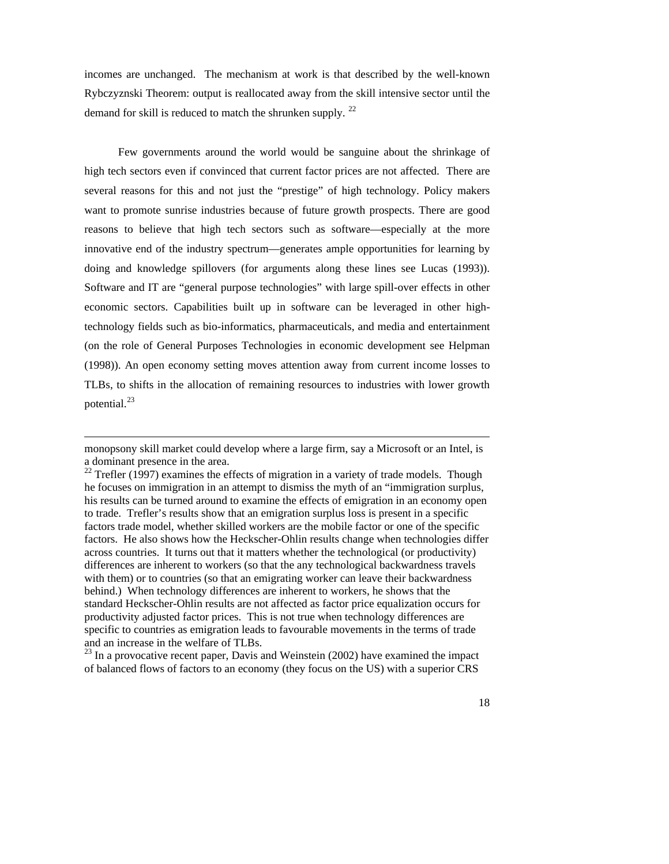incomes are unchanged. The mechanism at work is that described by the well-known Rybczyznski Theorem: output is reallocated away from the skill intensive sector until the demand for skill is reduced to match the shrunken supply.<sup>[22](#page-18-0)</sup>

 Few governments around the world would be sanguine about the shrinkage of high tech sectors even if convinced that current factor prices are not affected. There are several reasons for this and not just the "prestige" of high technology. Policy makers want to promote sunrise industries because of future growth prospects. There are good reasons to believe that high tech sectors such as software—especially at the more innovative end of the industry spectrum—generates ample opportunities for learning by doing and knowledge spillovers (for arguments along these lines see Lucas (1993)). Software and IT are "general purpose technologies" with large spill-over effects in other economic sectors. Capabilities built up in software can be leveraged in other hightechnology fields such as bio-informatics, pharmaceuticals, and media and entertainment (on the role of General Purposes Technologies in economic development see Helpman (1998)). An open economy setting moves attention away from current income losses to TLBs, to shifts in the allocation of remaining resources to industries with lower growth potential. $^{23}$  $^{23}$  $^{23}$ 

l

<span id="page-18-1"></span> $2<sup>23</sup>$  In a provocative recent paper, Davis and Weinstein (2002) have examined the impact of balanced flows of factors to an economy (they focus on the US) with a superior CRS

monopsony skill market could develop where a large firm, say a Microsoft or an Intel, is a dominant presence in the area.

<span id="page-18-0"></span><sup>&</sup>lt;sup>22</sup> Trefler (1997) examines the effects of migration in a variety of trade models. Though he focuses on immigration in an attempt to dismiss the myth of an "immigration surplus, his results can be turned around to examine the effects of emigration in an economy open to trade. Trefler's results show that an emigration surplus loss is present in a specific factors trade model, whether skilled workers are the mobile factor or one of the specific factors. He also shows how the Heckscher-Ohlin results change when technologies differ across countries. It turns out that it matters whether the technological (or productivity) differences are inherent to workers (so that the any technological backwardness travels with them) or to countries (so that an emigrating worker can leave their backwardness behind.) When technology differences are inherent to workers, he shows that the standard Heckscher-Ohlin results are not affected as factor price equalization occurs for productivity adjusted factor prices. This is not true when technology differences are specific to countries as emigration leads to favourable movements in the terms of trade and an increase in the welfare of TLBs.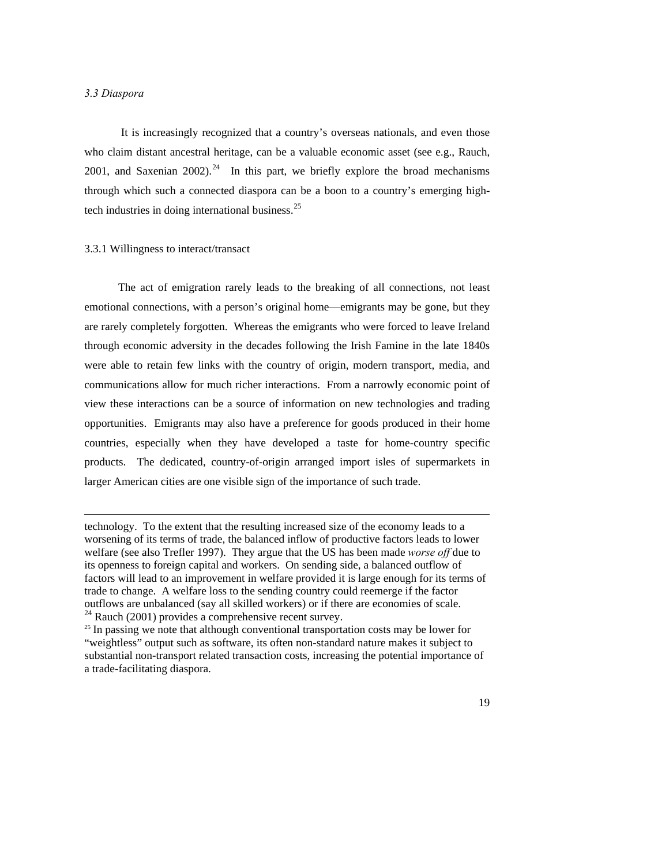#### *3.3 Diaspora*

 $\overline{a}$ 

 It is increasingly recognized that a country's overseas nationals, and even those who claim distant ancestral heritage, can be a valuable economic asset (see e.g., Rauch, 2001, and Saxenian 2002).<sup>[24](#page-19-0)</sup> In this part, we briefly explore the broad mechanisms through which such a connected diaspora can be a boon to a country's emerging hightech industries in doing international business. $25$ 

## 3.3.1 Willingness to interact/transact

 The act of emigration rarely leads to the breaking of all connections, not least emotional connections, with a person's original home—emigrants may be gone, but they are rarely completely forgotten. Whereas the emigrants who were forced to leave Ireland through economic adversity in the decades following the Irish Famine in the late 1840s were able to retain few links with the country of origin, modern transport, media, and communications allow for much richer interactions. From a narrowly economic point of view these interactions can be a source of information on new technologies and trading opportunities. Emigrants may also have a preference for goods produced in their home countries, especially when they have developed a taste for home-country specific products. The dedicated, country-of-origin arranged import isles of supermarkets in larger American cities are one visible sign of the importance of such trade.

technology. To the extent that the resulting increased size of the economy leads to a worsening of its terms of trade, the balanced inflow of productive factors leads to lower welfare (see also Trefler 1997). They argue that the US has been made *worse off* due to its openness to foreign capital and workers. On sending side, a balanced outflow of factors will lead to an improvement in welfare provided it is large enough for its terms of trade to change. A welfare loss to the sending country could reemerge if the factor outflows are unbalanced (say all skilled workers) or if there are economies of scale.  $24$  Rauch (2001) provides a comprehensive recent survey.

<span id="page-19-1"></span><span id="page-19-0"></span> $25$  In passing we note that although conventional transportation costs may be lower for "weightless" output such as software, its often non-standard nature makes it subject to substantial non-transport related transaction costs, increasing the potential importance of a trade-facilitating diaspora.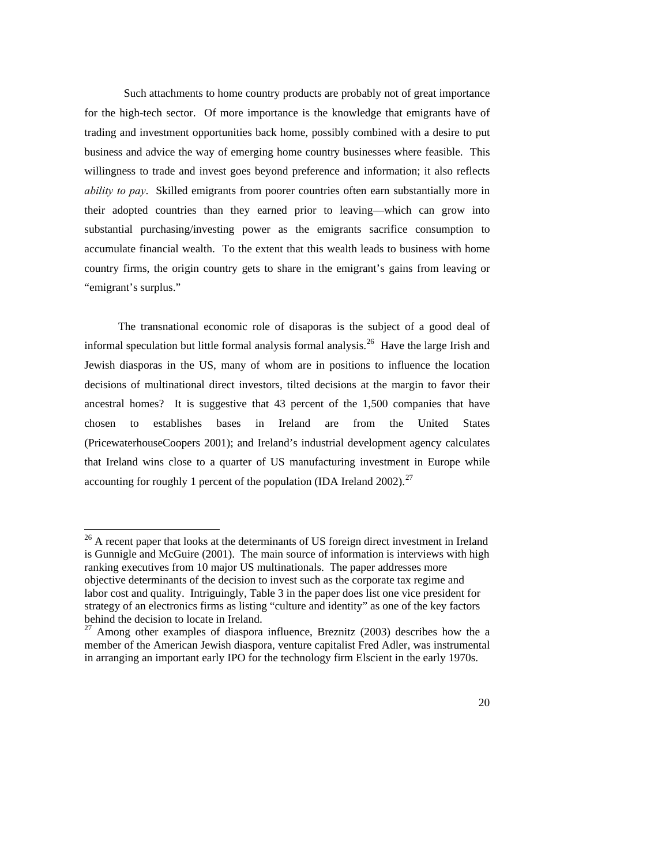Such attachments to home country products are probably not of great importance for the high-tech sector. Of more importance is the knowledge that emigrants have of trading and investment opportunities back home, possibly combined with a desire to put business and advice the way of emerging home country businesses where feasible. This willingness to trade and invest goes beyond preference and information; it also reflects *ability to pay*. Skilled emigrants from poorer countries often earn substantially more in their adopted countries than they earned prior to leaving—which can grow into substantial purchasing/investing power as the emigrants sacrifice consumption to accumulate financial wealth. To the extent that this wealth leads to business with home country firms, the origin country gets to share in the emigrant's gains from leaving or "emigrant's surplus."

The transnational economic role of disaporas is the subject of a good deal of informal speculation but little formal analysis formal analysis.<sup>[26](#page-20-0)</sup> Have the large Irish and Jewish diasporas in the US, many of whom are in positions to influence the location decisions of multinational direct investors, tilted decisions at the margin to favor their ancestral homes? It is suggestive that 43 percent of the 1,500 companies that have chosen to establishes bases in Ireland are from the United States (PricewaterhouseCoopers 2001); and Ireland's industrial development agency calculates that Ireland wins close to a quarter of US manufacturing investment in Europe while accounting for roughly 1 percent of the population (IDA Ireland 2002).<sup>[27](#page-20-1)</sup>

 $\overline{a}$ 

 $26$  A recent paper that looks at the determinants of US foreign direct investment in Ireland is Gunnigle and McGuire (2001). The main source of information is interviews with high ranking executives from 10 major US multinationals. The paper addresses more objective determinants of the decision to invest such as the corporate tax regime and labor cost and quality. Intriguingly, Table 3 in the paper does list one vice president for strategy of an electronics firms as listing "culture and identity" as one of the key factors behind the decision to locate in Ireland.

<span id="page-20-1"></span><span id="page-20-0"></span> $27$  Among other examples of diaspora influence, Breznitz (2003) describes how the a member of the American Jewish diaspora, venture capitalist Fred Adler, was instrumental in arranging an important early IPO for the technology firm Elscient in the early 1970s.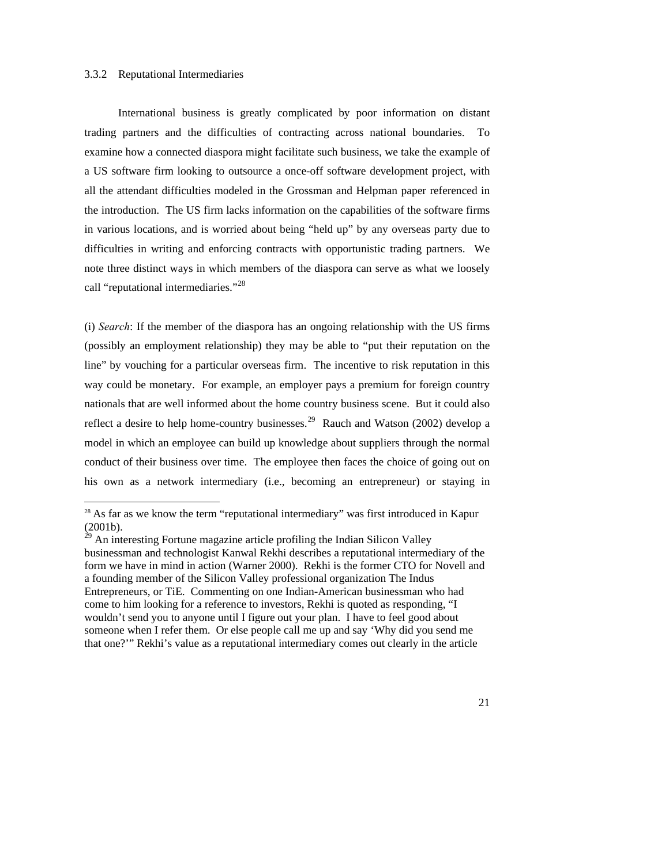#### 3.3.2 Reputational Intermediaries

l

 International business is greatly complicated by poor information on distant trading partners and the difficulties of contracting across national boundaries. To examine how a connected diaspora might facilitate such business, we take the example of a US software firm looking to outsource a once-off software development project, with all the attendant difficulties modeled in the Grossman and Helpman paper referenced in the introduction. The US firm lacks information on the capabilities of the software firms in various locations, and is worried about being "held up" by any overseas party due to difficulties in writing and enforcing contracts with opportunistic trading partners. We note three distinct ways in which members of the diaspora can serve as what we loosely call "reputational intermediaries."<sup>[28](#page-21-0)</sup>

(i) *Search*: If the member of the diaspora has an ongoing relationship with the US firms (possibly an employment relationship) they may be able to "put their reputation on the line" by vouching for a particular overseas firm. The incentive to risk reputation in this way could be monetary. For example, an employer pays a premium for foreign country nationals that are well informed about the home country business scene. But it could also reflect a desire to help home-country businesses.<sup>[29](#page-21-1)</sup> Rauch and Watson (2002) develop a model in which an employee can build up knowledge about suppliers through the normal conduct of their business over time. The employee then faces the choice of going out on his own as a network intermediary (i.e., becoming an entrepreneur) or staying in

<sup>&</sup>lt;sup>28</sup> As far as we know the term "reputational intermediary" was first introduced in Kapur (2001b).

<span id="page-21-1"></span><span id="page-21-0"></span> $^{29}$  An interesting Fortune magazine article profiling the Indian Silicon Valley businessman and technologist Kanwal Rekhi describes a reputational intermediary of the form we have in mind in action (Warner 2000). Rekhi is the former CTO for Novell and a founding member of the Silicon Valley professional organization The Indus Entrepreneurs, or TiE. Commenting on one Indian-American businessman who had come to him looking for a reference to investors, Rekhi is quoted as responding, "I wouldn't send you to anyone until I figure out your plan. I have to feel good about someone when I refer them. Or else people call me up and say 'Why did you send me that one?'" Rekhi's value as a reputational intermediary comes out clearly in the article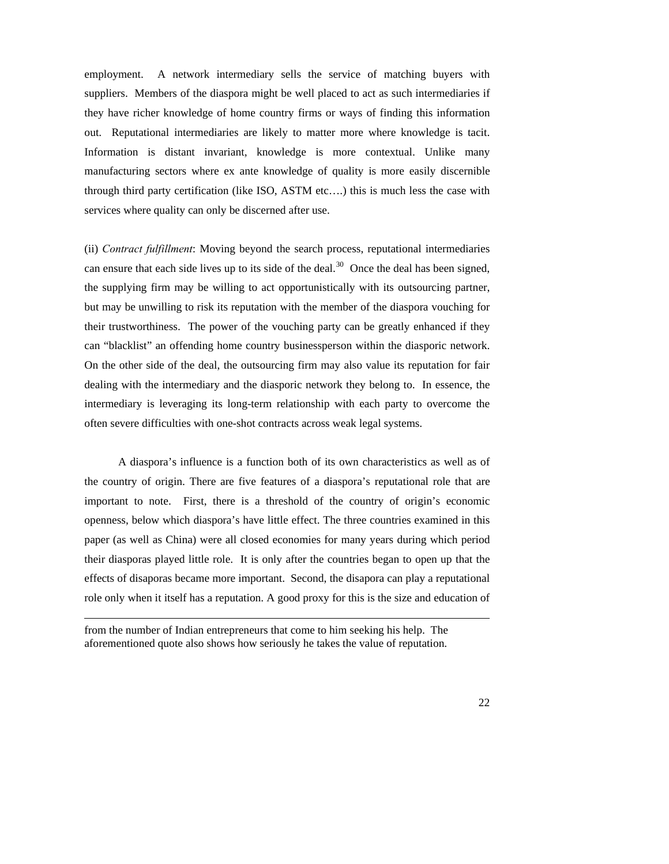employment. A network intermediary sells the service of matching buyers with suppliers. Members of the diaspora might be well placed to act as such intermediaries if they have richer knowledge of home country firms or ways of finding this information out. Reputational intermediaries are likely to matter more where knowledge is tacit. Information is distant invariant, knowledge is more contextual. Unlike many manufacturing sectors where ex ante knowledge of quality is more easily discernible through third party certification (like ISO, ASTM etc….) this is much less the case with services where quality can only be discerned after use.

(ii) *Contract fulfillment*: Moving beyond the search process, reputational intermediaries can ensure that each side lives up to its side of the deal.<sup>[30](#page-22-0)</sup> Once the deal has been signed, the supplying firm may be willing to act opportunistically with its outsourcing partner, but may be unwilling to risk its reputation with the member of the diaspora vouching for their trustworthiness. The power of the vouching party can be greatly enhanced if they can "blacklist" an offending home country businessperson within the diasporic network. On the other side of the deal, the outsourcing firm may also value its reputation for fair dealing with the intermediary and the diasporic network they belong to. In essence, the intermediary is leveraging its long-term relationship with each party to overcome the often severe difficulties with one-shot contracts across weak legal systems.

 A diaspora's influence is a function both of its own characteristics as well as of the country of origin. There are five features of a diaspora's reputational role that are important to note. First, there is a threshold of the country of origin's economic openness, below which diaspora's have little effect. The three countries examined in this paper (as well as China) were all closed economies for many years during which period their diasporas played little role. It is only after the countries began to open up that the effects of disaporas became more important. Second, the disapora can play a reputational role only when it itself has a reputation. A good proxy for this is the size and education of

<span id="page-22-0"></span>from the number of Indian entrepreneurs that come to him seeking his help. The aforementioned quote also shows how seriously he takes the value of reputation.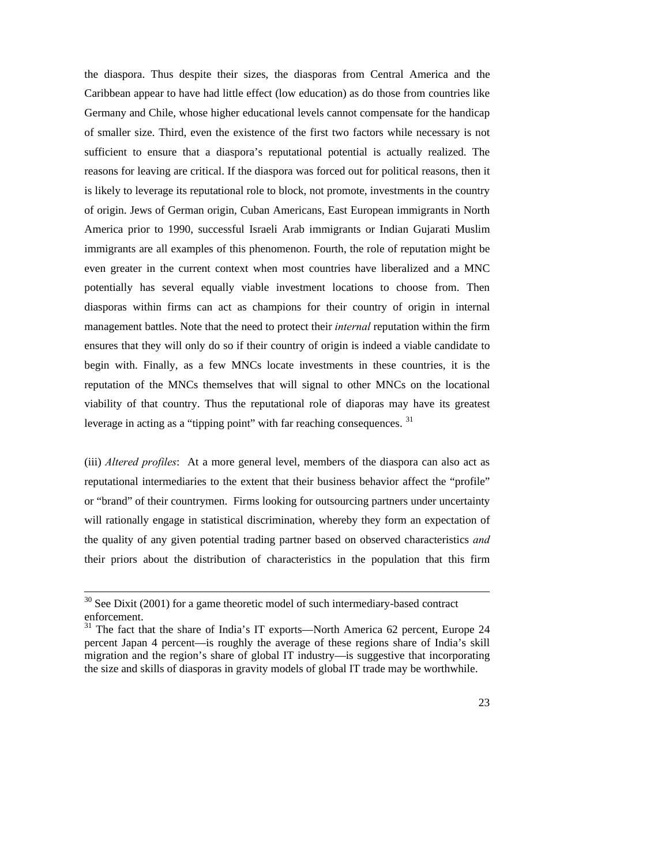the diaspora. Thus despite their sizes, the diasporas from Central America and the Caribbean appear to have had little effect (low education) as do those from countries like Germany and Chile, whose higher educational levels cannot compensate for the handicap of smaller size. Third, even the existence of the first two factors while necessary is not sufficient to ensure that a diaspora's reputational potential is actually realized. The reasons for leaving are critical. If the diaspora was forced out for political reasons, then it is likely to leverage its reputational role to block, not promote, investments in the country of origin. Jews of German origin, Cuban Americans, East European immigrants in North America prior to 1990, successful Israeli Arab immigrants or Indian Gujarati Muslim immigrants are all examples of this phenomenon. Fourth, the role of reputation might be even greater in the current context when most countries have liberalized and a MNC potentially has several equally viable investment locations to choose from. Then diasporas within firms can act as champions for their country of origin in internal management battles. Note that the need to protect their *internal* reputation within the firm ensures that they will only do so if their country of origin is indeed a viable candidate to begin with. Finally, as a few MNCs locate investments in these countries, it is the reputation of the MNCs themselves that will signal to other MNCs on the locational viability of that country. Thus the reputational role of diaporas may have its greatest leverage in acting as a "tipping point" with far reaching consequences. <sup>[31](#page-23-0)</sup>

(iii) *Altered profiles*: At a more general level, members of the diaspora can also act as reputational intermediaries to the extent that their business behavior affect the "profile" or "brand" of their countrymen. Firms looking for outsourcing partners under uncertainty will rationally engage in statistical discrimination, whereby they form an expectation of the quality of any given potential trading partner based on observed characteristics *and*  their priors about the distribution of characteristics in the population that this firm

 $\overline{a}$ 

 $30$  See Dixit (2001) for a game theoretic model of such intermediary-based contract enforcement.

<span id="page-23-0"></span><sup>&</sup>lt;sup>31</sup> The fact that the share of India's IT exports—North America 62 percent, Europe 24 percent Japan 4 percent—is roughly the average of these regions share of India's skill migration and the region's share of global IT industry—is suggestive that incorporating the size and skills of diasporas in gravity models of global IT trade may be worthwhile.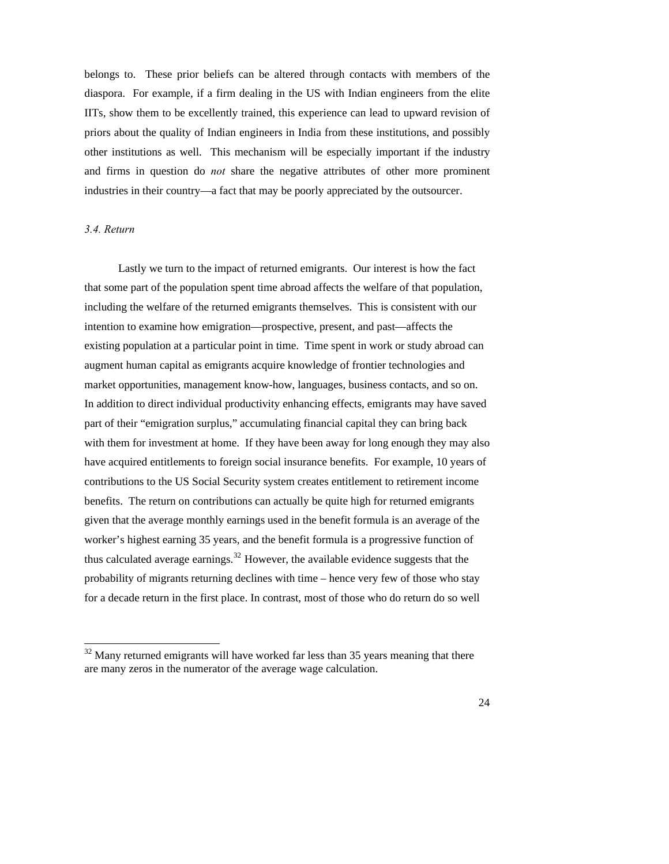belongs to. These prior beliefs can be altered through contacts with members of the diaspora. For example, if a firm dealing in the US with Indian engineers from the elite IITs, show them to be excellently trained, this experience can lead to upward revision of priors about the quality of Indian engineers in India from these institutions, and possibly other institutions as well. This mechanism will be especially important if the industry and firms in question do *not* share the negative attributes of other more prominent industries in their country—a fact that may be poorly appreciated by the outsourcer.

## *3.4. Return*

l

 Lastly we turn to the impact of returned emigrants. Our interest is how the fact that some part of the population spent time abroad affects the welfare of that population, including the welfare of the returned emigrants themselves. This is consistent with our intention to examine how emigration—prospective, present, and past—affects the existing population at a particular point in time. Time spent in work or study abroad can augment human capital as emigrants acquire knowledge of frontier technologies and market opportunities, management know-how, languages, business contacts, and so on. In addition to direct individual productivity enhancing effects, emigrants may have saved part of their "emigration surplus," accumulating financial capital they can bring back with them for investment at home. If they have been away for long enough they may also have acquired entitlements to foreign social insurance benefits. For example, 10 years of contributions to the US Social Security system creates entitlement to retirement income benefits. The return on contributions can actually be quite high for returned emigrants given that the average monthly earnings used in the benefit formula is an average of the worker's highest earning 35 years, and the benefit formula is a progressive function of thus calculated average earnings.<sup>[32](#page-24-0)</sup> However, the available evidence suggests that the probability of migrants returning declines with time – hence very few of those who stay for a decade return in the first place. In contrast, most of those who do return do so well

<span id="page-24-0"></span> $32$  Many returned emigrants will have worked far less than 35 years meaning that there are many zeros in the numerator of the average wage calculation.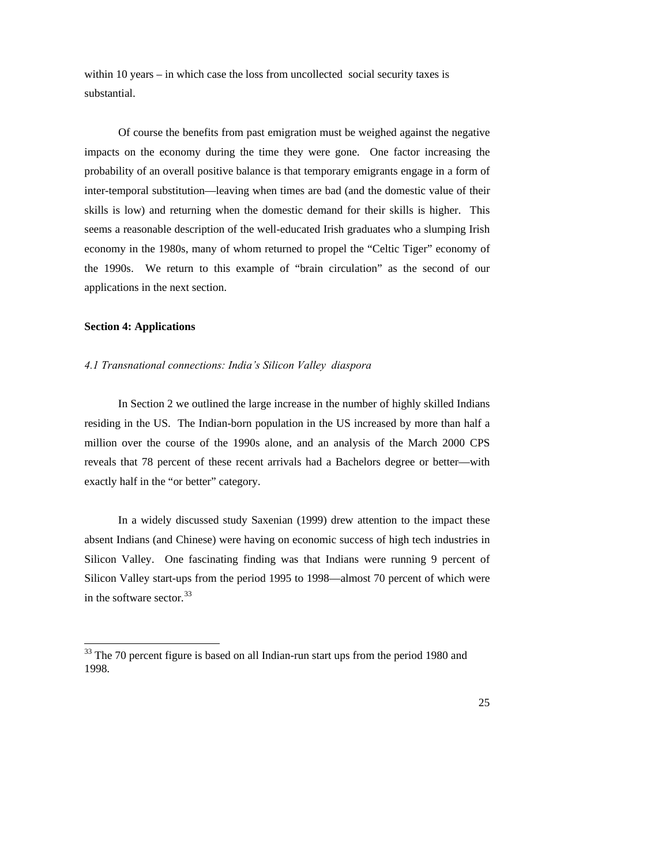within 10 years – in which case the loss from uncollected social security taxes is substantial.

 Of course the benefits from past emigration must be weighed against the negative impacts on the economy during the time they were gone. One factor increasing the probability of an overall positive balance is that temporary emigrants engage in a form of inter-temporal substitution—leaving when times are bad (and the domestic value of their skills is low) and returning when the domestic demand for their skills is higher. This seems a reasonable description of the well-educated Irish graduates who a slumping Irish economy in the 1980s, many of whom returned to propel the "Celtic Tiger" economy of the 1990s. We return to this example of "brain circulation" as the second of our applications in the next section.

## **Section 4: Applications**

l

### *4.1 Transnational connections: India's Silicon Valley diaspora*

 In Section 2 we outlined the large increase in the number of highly skilled Indians residing in the US. The Indian-born population in the US increased by more than half a million over the course of the 1990s alone, and an analysis of the March 2000 CPS reveals that 78 percent of these recent arrivals had a Bachelors degree or better—with exactly half in the "or better" category.

 In a widely discussed study Saxenian (1999) drew attention to the impact these absent Indians (and Chinese) were having on economic success of high tech industries in Silicon Valley. One fascinating finding was that Indians were running 9 percent of Silicon Valley start-ups from the period 1995 to 1998—almost 70 percent of which were in the software sector. $33$ 

<span id="page-25-0"></span> $33$  The 70 percent figure is based on all Indian-run start ups from the period 1980 and 1998.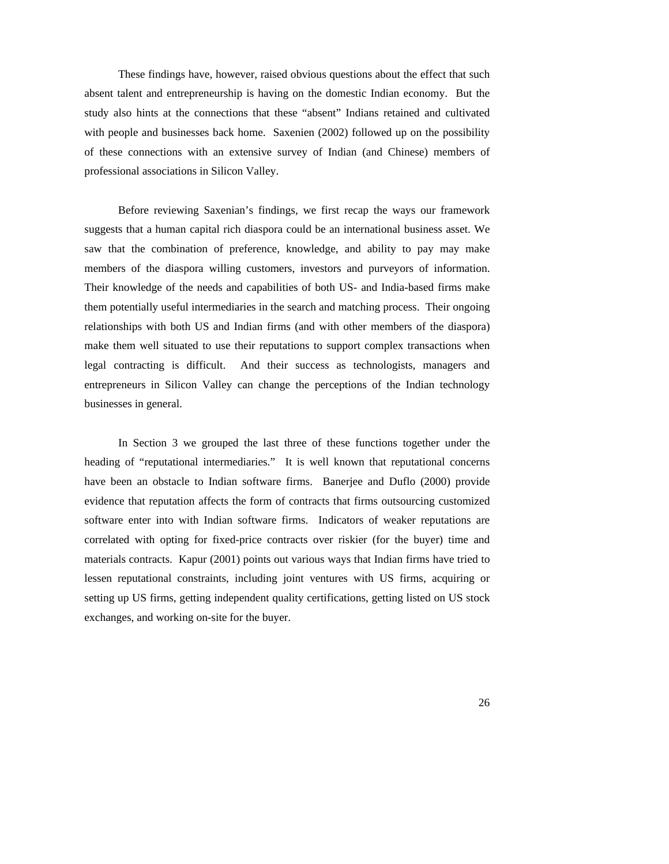These findings have, however, raised obvious questions about the effect that such absent talent and entrepreneurship is having on the domestic Indian economy. But the study also hints at the connections that these "absent" Indians retained and cultivated with people and businesses back home. Saxenien (2002) followed up on the possibility of these connections with an extensive survey of Indian (and Chinese) members of professional associations in Silicon Valley.

 Before reviewing Saxenian's findings, we first recap the ways our framework suggests that a human capital rich diaspora could be an international business asset. We saw that the combination of preference, knowledge, and ability to pay may make members of the diaspora willing customers, investors and purveyors of information. Their knowledge of the needs and capabilities of both US- and India-based firms make them potentially useful intermediaries in the search and matching process. Their ongoing relationships with both US and Indian firms (and with other members of the diaspora) make them well situated to use their reputations to support complex transactions when legal contracting is difficult. And their success as technologists, managers and entrepreneurs in Silicon Valley can change the perceptions of the Indian technology businesses in general.

 In Section 3 we grouped the last three of these functions together under the heading of "reputational intermediaries." It is well known that reputational concerns have been an obstacle to Indian software firms. Banerjee and Duflo (2000) provide evidence that reputation affects the form of contracts that firms outsourcing customized software enter into with Indian software firms. Indicators of weaker reputations are correlated with opting for fixed-price contracts over riskier (for the buyer) time and materials contracts. Kapur (2001) points out various ways that Indian firms have tried to lessen reputational constraints, including joint ventures with US firms, acquiring or setting up US firms, getting independent quality certifications, getting listed on US stock exchanges, and working on-site for the buyer.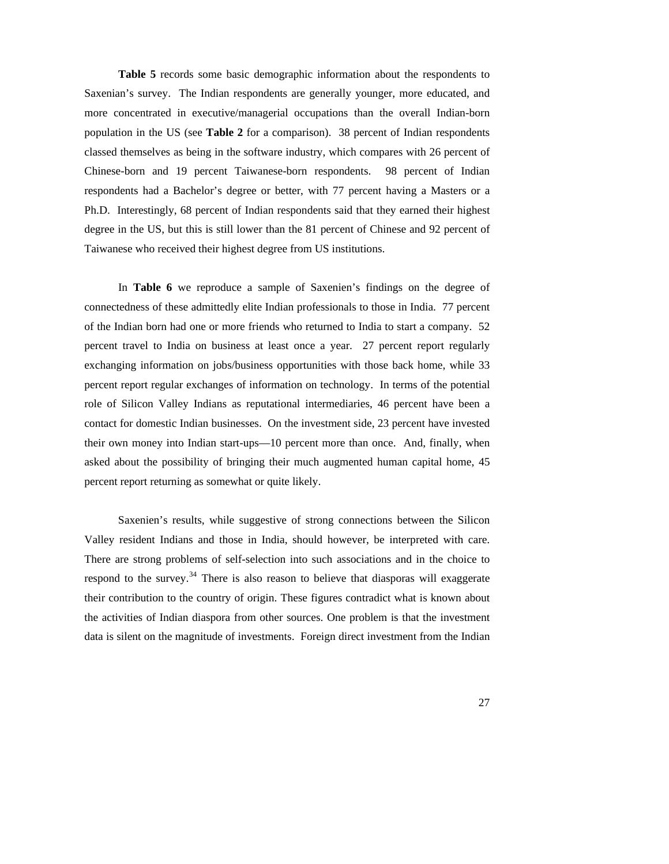**Table 5** records some basic demographic information about the respondents to Saxenian's survey. The Indian respondents are generally younger, more educated, and more concentrated in executive/managerial occupations than the overall Indian-born population in the US (see **Table 2** for a comparison). 38 percent of Indian respondents classed themselves as being in the software industry, which compares with 26 percent of Chinese-born and 19 percent Taiwanese-born respondents. 98 percent of Indian respondents had a Bachelor's degree or better, with 77 percent having a Masters or a Ph.D. Interestingly, 68 percent of Indian respondents said that they earned their highest degree in the US, but this is still lower than the 81 percent of Chinese and 92 percent of Taiwanese who received their highest degree from US institutions.

 In **Table 6** we reproduce a sample of Saxenien's findings on the degree of connectedness of these admittedly elite Indian professionals to those in India. 77 percent of the Indian born had one or more friends who returned to India to start a company. 52 percent travel to India on business at least once a year. 27 percent report regularly exchanging information on jobs/business opportunities with those back home, while 33 percent report regular exchanges of information on technology. In terms of the potential role of Silicon Valley Indians as reputational intermediaries, 46 percent have been a contact for domestic Indian businesses. On the investment side, 23 percent have invested their own money into Indian start-ups—10 percent more than once. And, finally, when asked about the possibility of bringing their much augmented human capital home, 45 percent report returning as somewhat or quite likely.

<span id="page-27-0"></span> Saxenien's results, while suggestive of strong connections between the Silicon Valley resident Indians and those in India, should however, be interpreted with care. There are strong problems of self-selection into such associations and in the choice to respond to the survey. $34$  There is also reason to believe that diasporas will exaggerate their contribution to the country of origin. These figures contradict what is known about the activities of Indian diaspora from other sources. One problem is that the investment data is silent on the magnitude of investments. Foreign direct investment from the Indian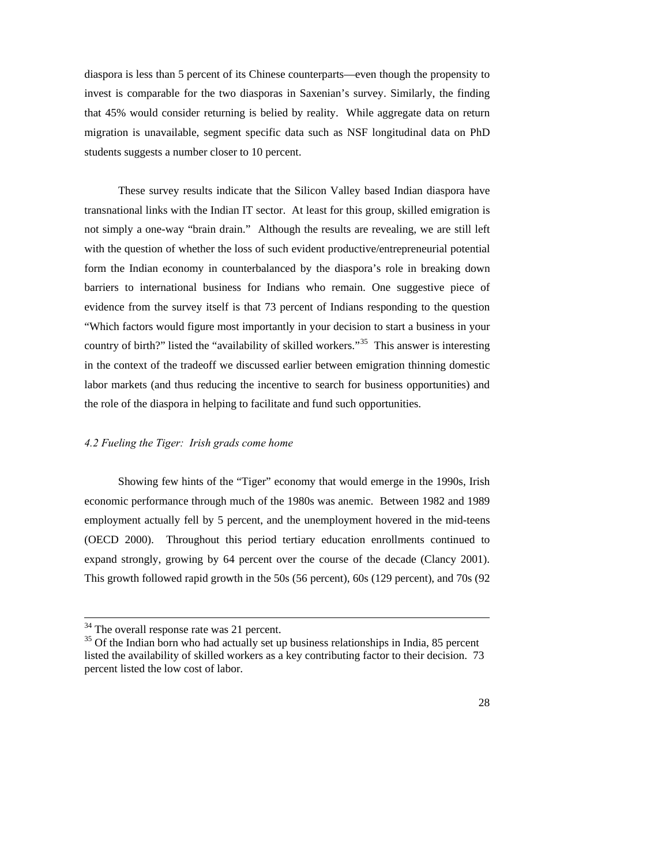<span id="page-28-0"></span>diaspora is less than 5 percent of its Chinese counterparts—even though the propensity to invest is comparable for the two diasporas in Saxenian's survey. Similarly, the finding that 45% would consider returning is belied by reality. While aggregate data on return migration is unavailable, segment specific data such as NSF longitudinal data on PhD students suggests a number closer to 10 percent.

 These survey results indicate that the Silicon Valley based Indian diaspora have transnational links with the Indian IT sector. At least for this group, skilled emigration is not simply a one-way "brain drain." Although the results are revealing, we are still left with the question of whether the loss of such evident productive/entrepreneurial potential form the Indian economy in counterbalanced by the diaspora's role in breaking down barriers to international business for Indians who remain. One suggestive piece of evidence from the survey itself is that 73 percent of Indians responding to the question "Which factors would figure most importantly in your decision to start a business in your country of birth?" listed the "availability of skilled workers."<sup>[35](#page-28-0)</sup> This answer is interesting in the context of the tradeoff we discussed earlier between emigration thinning domestic labor markets (and thus reducing the incentive to search for business opportunities) and the role of the diaspora in helping to facilitate and fund such opportunities.

### *4.2 Fueling the Tiger: Irish grads come home*

 Showing few hints of the "Tiger" economy that would emerge in the 1990s, Irish economic performance through much of the 1980s was anemic. Between 1982 and 1989 employment actually fell by 5 percent, and the unemployment hovered in the mid-teens (OECD 2000). Throughout this period tertiary education enrollments continued to expand strongly, growing by 64 percent over the course of the decade (Clancy 2001). This growth followed rapid growth in the 50s (56 percent), 60s (129 percent), and 70s (92

 $\overline{a}$ 

 $34$  The overall response rate was 21 percent.

<sup>&</sup>lt;sup>35</sup> Of the Indian born who had actually set up business relationships in India, 85 percent listed the availability of skilled workers as a key contributing factor to their decision. 73 percent listed the low cost of labor.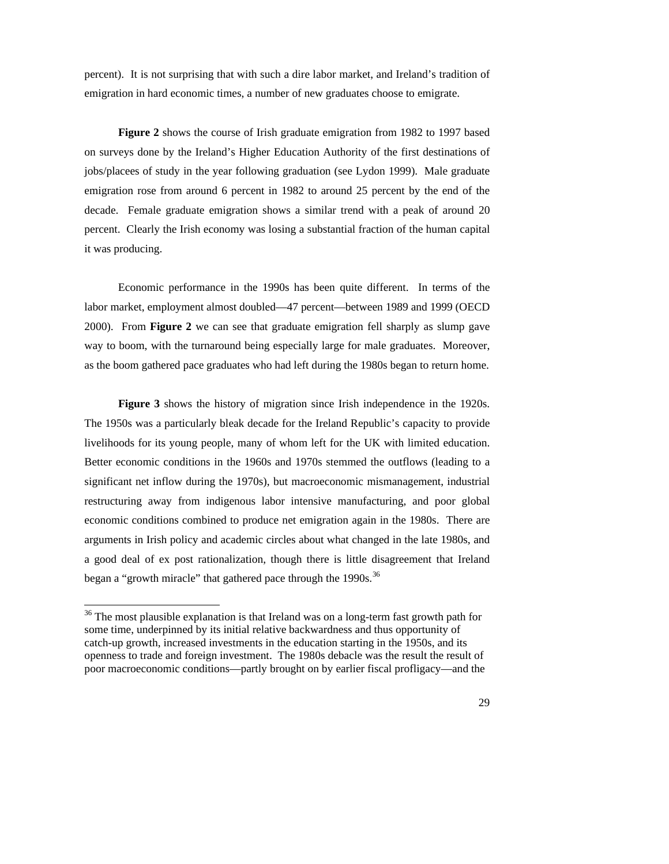percent). It is not surprising that with such a dire labor market, and Ireland's tradition of emigration in hard economic times, a number of new graduates choose to emigrate.

**Figure 2** shows the course of Irish graduate emigration from 1982 to 1997 based on surveys done by the Ireland's Higher Education Authority of the first destinations of jobs/placees of study in the year following graduation (see Lydon 1999). Male graduate emigration rose from around 6 percent in 1982 to around 25 percent by the end of the decade. Female graduate emigration shows a similar trend with a peak of around 20 percent. Clearly the Irish economy was losing a substantial fraction of the human capital it was producing.

 Economic performance in the 1990s has been quite different. In terms of the labor market, employment almost doubled—47 percent—between 1989 and 1999 (OECD 2000). From **Figure 2** we can see that graduate emigration fell sharply as slump gave way to boom, with the turnaround being especially large for male graduates. Moreover, as the boom gathered pace graduates who had left during the 1980s began to return home.

**Figure 3** shows the history of migration since Irish independence in the 1920s. The 1950s was a particularly bleak decade for the Ireland Republic's capacity to provide livelihoods for its young people, many of whom left for the UK with limited education. Better economic conditions in the 1960s and 1970s stemmed the outflows (leading to a significant net inflow during the 1970s), but macroeconomic mismanagement, industrial restructuring away from indigenous labor intensive manufacturing, and poor global economic conditions combined to produce net emigration again in the 1980s. There are arguments in Irish policy and academic circles about what changed in the late 1980s, and a good deal of ex post rationalization, though there is little disagreement that Ireland began a "growth miracle" that gathered pace through the 1990s.<sup>[36](#page-29-0)</sup>

<span id="page-29-0"></span><sup>&</sup>lt;sup>36</sup> The most plausible explanation is that Ireland was on a long-term fast growth path for some time, underpinned by its initial relative backwardness and thus opportunity of catch-up growth, increased investments in the education starting in the 1950s, and its openness to trade and foreign investment. The 1980s debacle was the result the result of poor macroeconomic conditions—partly brought on by earlier fiscal profligacy—and the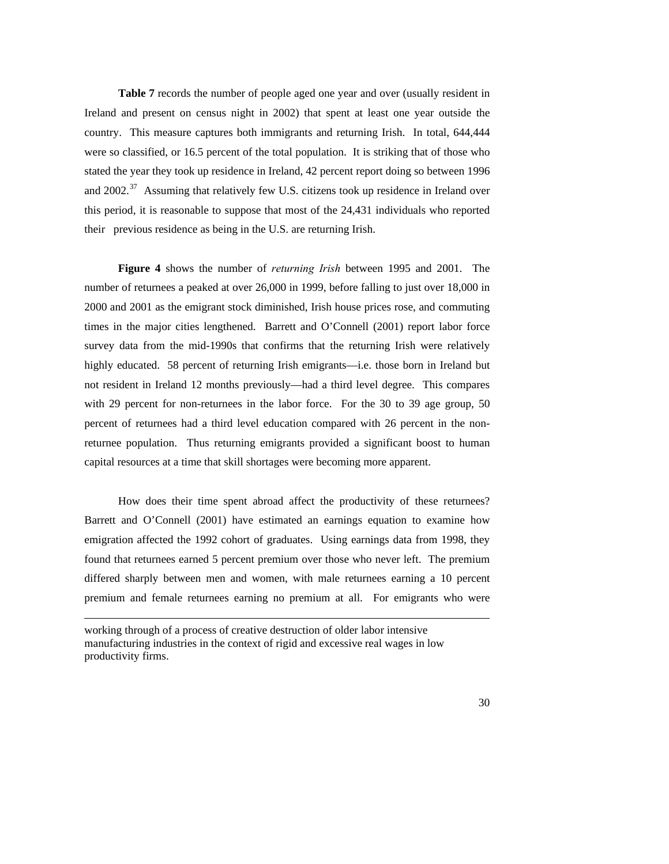**Table 7** records the number of people aged one year and over (usually resident in Ireland and present on census night in 2002) that spent at least one year outside the country. This measure captures both immigrants and returning Irish. In total, 644,444 were so classified, or 16.5 percent of the total population. It is striking that of those who stated the year they took up residence in Ireland, 42 percent report doing so between 1996 and  $2002$ .<sup>[37](#page-30-0)</sup> Assuming that relatively few U.S. citizens took up residence in Ireland over this period, it is reasonable to suppose that most of the 24,431 individuals who reported their previous residence as being in the U.S. are returning Irish.

**Figure 4** shows the number of *returning Irish* between 1995 and 2001. The number of returnees a peaked at over 26,000 in 1999, before falling to just over 18,000 in 2000 and 2001 as the emigrant stock diminished, Irish house prices rose, and commuting times in the major cities lengthened. Barrett and O'Connell (2001) report labor force survey data from the mid-1990s that confirms that the returning Irish were relatively highly educated. 58 percent of returning Irish emigrants—i.e. those born in Ireland but not resident in Ireland 12 months previously—had a third level degree. This compares with 29 percent for non-returnees in the labor force. For the 30 to 39 age group, 50 percent of returnees had a third level education compared with 26 percent in the nonreturnee population. Thus returning emigrants provided a significant boost to human capital resources at a time that skill shortages were becoming more apparent.

<span id="page-30-0"></span> How does their time spent abroad affect the productivity of these returnees? Barrett and O'Connell (2001) have estimated an earnings equation to examine how emigration affected the 1992 cohort of graduates. Using earnings data from 1998, they found that returnees earned 5 percent premium over those who never left. The premium differed sharply between men and women, with male returnees earning a 10 percent premium and female returnees earning no premium at all. For emigrants who were

working through of a process of creative destruction of older labor intensive manufacturing industries in the context of rigid and excessive real wages in low productivity firms.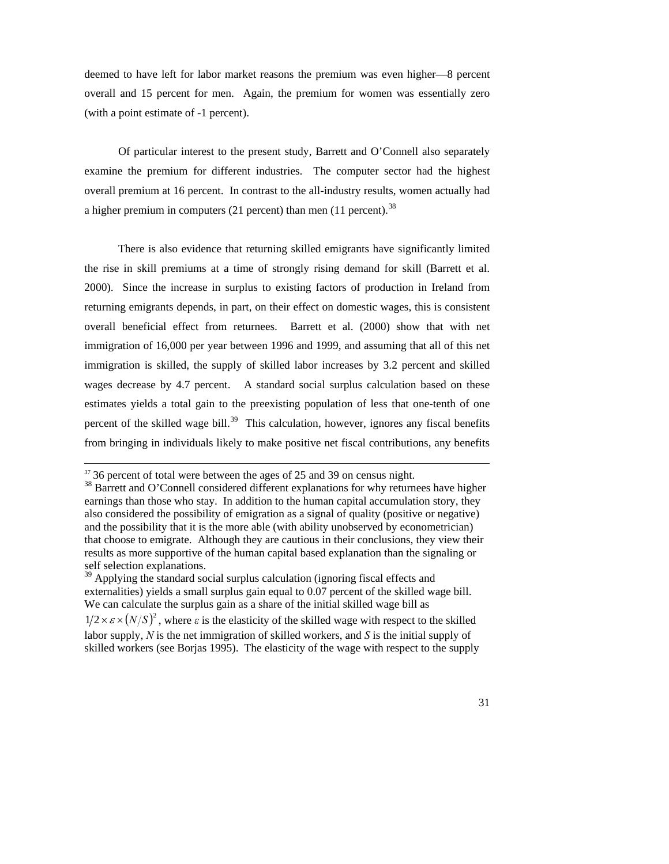deemed to have left for labor market reasons the premium was even higher—8 percent overall and 15 percent for men. Again, the premium for women was essentially zero (with a point estimate of -1 percent).

 Of particular interest to the present study, Barrett and O'Connell also separately examine the premium for different industries. The computer sector had the highest overall premium at 16 percent. In contrast to the all-industry results, women actually had a higher premium in computers  $(21$  percent) than men  $(11$  percent).<sup>38</sup>

 There is also evidence that returning skilled emigrants have significantly limited the rise in skill premiums at a time of strongly rising demand for skill (Barrett et al. 2000). Since the increase in surplus to existing factors of production in Ireland from returning emigrants depends, in part, on their effect on domestic wages, this is consistent overall beneficial effect from returnees. Barrett et al. (2000) show that with net immigration of 16,000 per year between 1996 and 1999, and assuming that all of this net immigration is skilled, the supply of skilled labor increases by 3.2 percent and skilled wages decrease by 4.7 percent. A standard social surplus calculation based on these estimates yields a total gain to the preexisting population of less that one-tenth of one percent of the skilled wage bill.<sup>[39](#page-31-1)</sup> This calculation, however, ignores any fiscal benefits from bringing in individuals likely to make positive net fiscal contributions, any benefits

 $\overline{a}$ 

<span id="page-31-1"></span><span id="page-31-0"></span><sup>39</sup> Applying the standard social surplus calculation (ignoring fiscal effects and externalities) yields a small surplus gain equal to 0.07 percent of the skilled wage bill. We can calculate the surplus gain as a share of the initial skilled wage bill as  $1/2 \times \varepsilon \times (N/S)^2$ , where  $\varepsilon$  is the elasticity of the skilled wage with respect to the skilled labor supply, *N* is the net immigration of skilled workers, and *S* is the initial supply of skilled workers (see Borjas 1995). The elasticity of the wage with respect to the supply

<sup>&</sup>lt;sup>37</sup> 36 percent of total were between the ages of 25 and 39 on census night.

 $38$  Barrett and O'Connell considered different explanations for why returnees have higher earnings than those who stay. In addition to the human capital accumulation story, they also considered the possibility of emigration as a signal of quality (positive or negative) and the possibility that it is the more able (with ability unobserved by econometrician) that choose to emigrate. Although they are cautious in their conclusions, they view their results as more supportive of the human capital based explanation than the signaling or self selection explanations.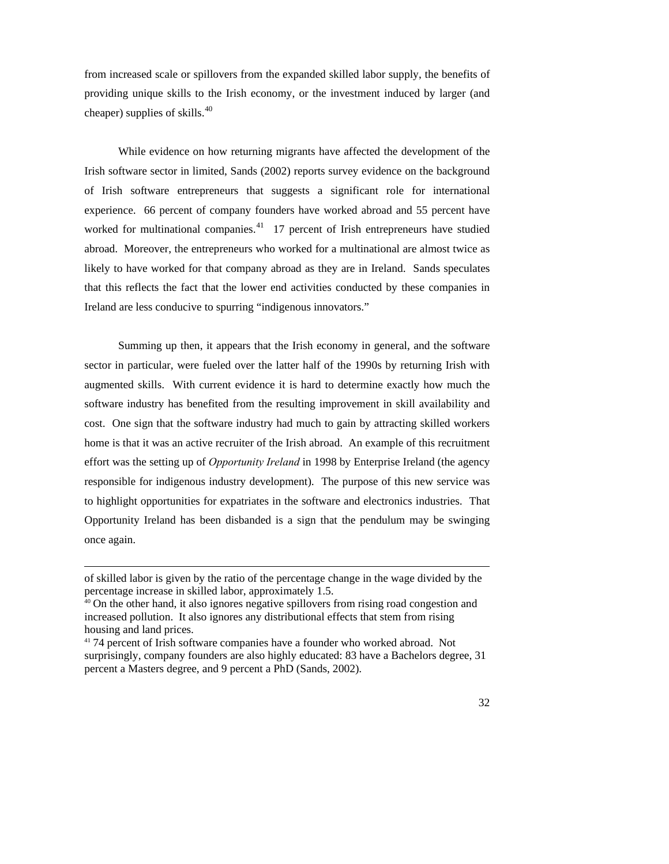from increased scale or spillovers from the expanded skilled labor supply, the benefits of providing unique skills to the Irish economy, or the investment induced by larger (and cheaper) supplies of skills.<sup>40</sup>

 While evidence on how returning migrants have affected the development of the Irish software sector in limited, Sands (2002) reports survey evidence on the background of Irish software entrepreneurs that suggests a significant role for international experience. 66 percent of company founders have worked abroad and 55 percent have worked for multinational companies. $^{41}$  17 percent of Irish entrepreneurs have studied abroad. Moreover, the entrepreneurs who worked for a multinational are almost twice as likely to have worked for that company abroad as they are in Ireland. Sands speculates that this reflects the fact that the lower end activities conducted by these companies in Ireland are less conducive to spurring "indigenous innovators."

 Summing up then, it appears that the Irish economy in general, and the software sector in particular, were fueled over the latter half of the 1990s by returning Irish with augmented skills. With current evidence it is hard to determine exactly how much the software industry has benefited from the resulting improvement in skill availability and cost. One sign that the software industry had much to gain by attracting skilled workers home is that it was an active recruiter of the Irish abroad. An example of this recruitment effort was the setting up of *Opportunity Ireland* in 1998 by Enterprise Ireland (the agency responsible for indigenous industry development). The purpose of this new service was to highlight opportunities for expatriates in the software and electronics industries. That Opportunity Ireland has been disbanded is a sign that the pendulum may be swinging once again.

of skilled labor is given by the ratio of the percentage change in the wage divided by the percentage increase in skilled labor, approximately 1.5.

<sup>40</sup> On the other hand, it also ignores negative spillovers from rising road congestion and increased pollution. It also ignores any distributional effects that stem from rising housing and land prices.

<span id="page-32-1"></span><span id="page-32-0"></span><sup>&</sup>lt;sup>41</sup> 74 percent of Irish software companies have a founder who worked abroad. Not surprisingly, company founders are also highly educated: 83 have a Bachelors degree, 31 percent a Masters degree, and 9 percent a PhD (Sands, 2002).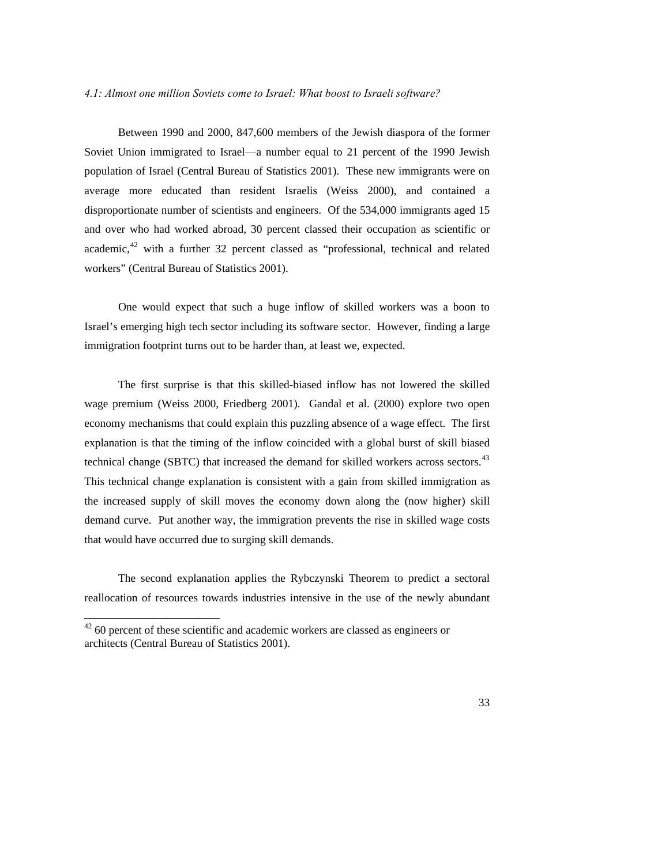## *4.1: Almost one million Soviets come to Israel: What boost to Israeli software?*

 Between 1990 and 2000, 847,600 members of the Jewish diaspora of the former Soviet Union immigrated to Israel—a number equal to 21 percent of the 1990 Jewish population of Israel (Central Bureau of Statistics 2001). These new immigrants were on average more educated than resident Israelis (Weiss 2000), and contained a disproportionate number of scientists and engineers. Of the 534,000 immigrants aged 15 and over who had worked abroad, 30 percent classed their occupation as scientific or academic, $42$  with a further 32 percent classed as "professional, technical and related workers" (Central Bureau of Statistics 2001).

 One would expect that such a huge inflow of skilled workers was a boon to Israel's emerging high tech sector including its software sector. However, finding a large immigration footprint turns out to be harder than, at least we, expected.

<span id="page-33-1"></span> The first surprise is that this skilled-biased inflow has not lowered the skilled wage premium (Weiss 2000, Friedberg 2001). Gandal et al. (2000) explore two open economy mechanisms that could explain this puzzling absence of a wage effect. The first explanation is that the timing of the inflow coincided with a global burst of skill biased technical change (SBTC) that increased the demand for skilled workers across sectors.<sup>[43](#page-33-1)</sup> This technical change explanation is consistent with a gain from skilled immigration as the increased supply of skill moves the economy down along the (now higher) skill demand curve. Put another way, the immigration prevents the rise in skilled wage costs that would have occurred due to surging skill demands.

The second explanation applies the Rybczynski Theorem to predict a sectoral reallocation of resources towards industries intensive in the use of the newly abundant

<span id="page-33-0"></span> $42$  60 percent of these scientific and academic workers are classed as engineers or architects (Central Bureau of Statistics 2001).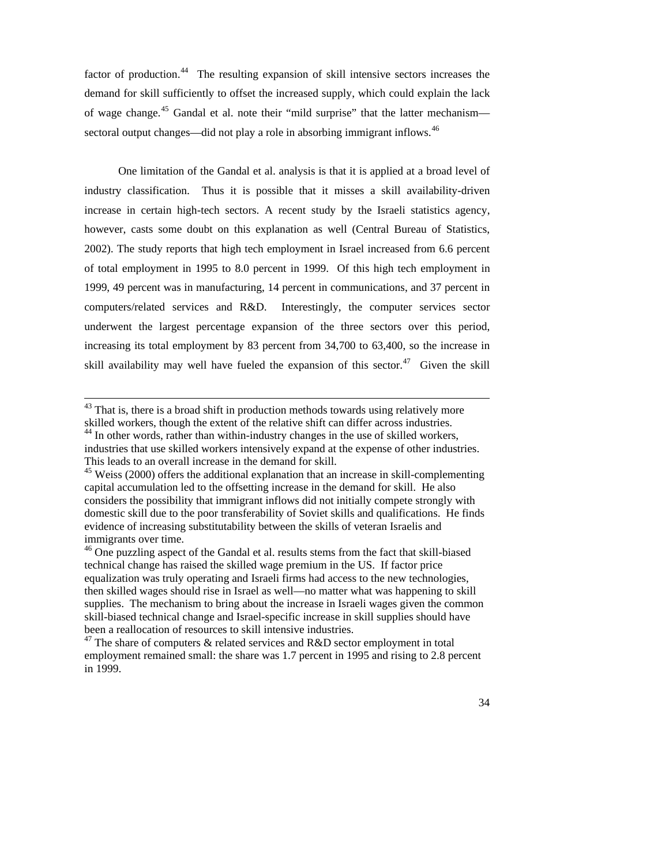factor of production.<sup>[44](#page-34-0)</sup> The resulting expansion of skill intensive sectors increases the demand for skill sufficiently to offset the increased supply, which could explain the lack of wage change.<sup>[45](#page-34-1)</sup> Gandal et al. note their "mild surprise" that the latter mechanism— sectoral output changes—did not play a role in absorbing immigrant inflows.<sup>[46](#page-34-2)</sup>

 One limitation of the Gandal et al. analysis is that it is applied at a broad level of industry classification. Thus it is possible that it misses a skill availability-driven increase in certain high-tech sectors. A recent study by the Israeli statistics agency, however, casts some doubt on this explanation as well (Central Bureau of Statistics, 2002). The study reports that high tech employment in Israel increased from 6.6 percent of total employment in 1995 to 8.0 percent in 1999. Of this high tech employment in 1999, 49 percent was in manufacturing, 14 percent in communications, and 37 percent in computers/related services and R&D. Interestingly, the computer services sector underwent the largest percentage expansion of the three sectors over this period, increasing its total employment by 83 percent from 34,700 to 63,400, so the increase in skill availability may well have fueled the expansion of this sector.<sup>[47](#page-34-3)</sup> Given the skill

 $43$  That is, there is a broad shift in production methods towards using relatively more skilled workers, though the extent of the relative shift can differ across industries.

l

<sup>44</sup> In other words, rather than within-industry changes in the use of skilled workers, industries that use skilled workers intensively expand at the expense of other industries. This leads to an overall increase in the demand for skill.

<span id="page-34-1"></span> $46$  One puzzling aspect of the Gandal et al. results stems from the fact that skill-biased technical change has raised the skilled wage premium in the US. If factor price equalization was truly operating and Israeli firms had access to the new technologies, then skilled wages should rise in Israel as well—no matter what was happening to skill supplies. The mechanism to bring about the increase in Israeli wages given the common skill-biased technical change and Israel-specific increase in skill supplies should have been a reallocation of resources to skill intensive industries.

<span id="page-34-3"></span><span id="page-34-2"></span><sup>47</sup> The share of computers  $\&$  related services and R&D sector employment in total employment remained small: the share was 1.7 percent in 1995 and rising to 2.8 percent in 1999.

<span id="page-34-0"></span> $45$  Weiss (2000) offers the additional explanation that an increase in skill-complementing capital accumulation led to the offsetting increase in the demand for skill. He also considers the possibility that immigrant inflows did not initially compete strongly with domestic skill due to the poor transferability of Soviet skills and qualifications. He finds evidence of increasing substitutability between the skills of veteran Israelis and immigrants over time.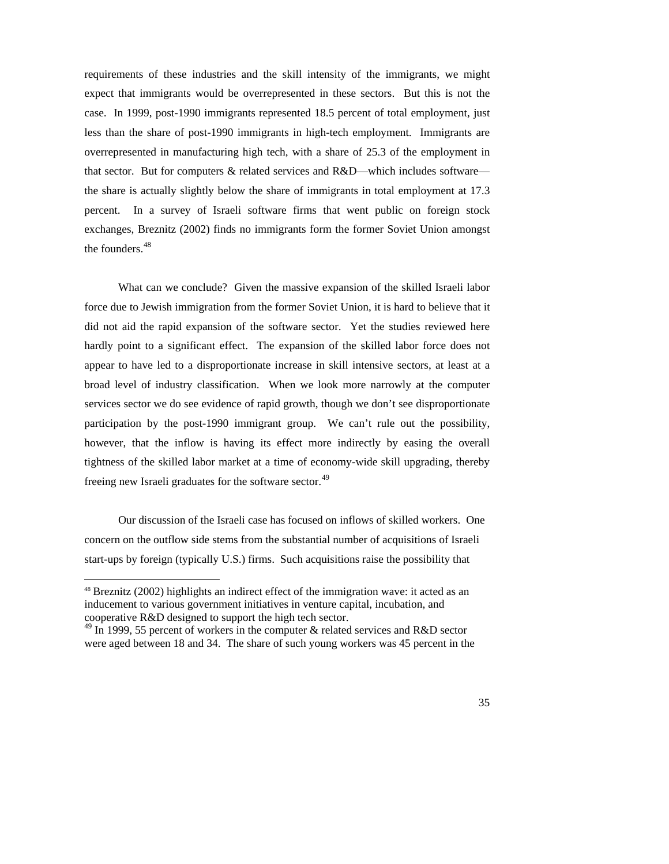requirements of these industries and the skill intensity of the immigrants, we might expect that immigrants would be overrepresented in these sectors. But this is not the case. In 1999, post-1990 immigrants represented 18.5 percent of total employment, just less than the share of post-1990 immigrants in high-tech employment. Immigrants are overrepresented in manufacturing high tech, with a share of 25.3 of the employment in that sector. But for computers & related services and R&D—which includes software the share is actually slightly below the share of immigrants in total employment at 17.3 percent. In a survey of Israeli software firms that went public on foreign stock exchanges, Breznitz (2002) finds no immigrants form the former Soviet Union amongst the founders. $48$ 

 What can we conclude? Given the massive expansion of the skilled Israeli labor force due to Jewish immigration from the former Soviet Union, it is hard to believe that it did not aid the rapid expansion of the software sector. Yet the studies reviewed here hardly point to a significant effect. The expansion of the skilled labor force does not appear to have led to a disproportionate increase in skill intensive sectors, at least at a broad level of industry classification. When we look more narrowly at the computer services sector we do see evidence of rapid growth, though we don't see disproportionate participation by the post-1990 immigrant group. We can't rule out the possibility, however, that the inflow is having its effect more indirectly by easing the overall tightness of the skilled labor market at a time of economy-wide skill upgrading, thereby freeing new Israeli graduates for the software sector.<sup>49</sup>

Our discussion of the Israeli case has focused on inflows of skilled workers. One concern on the outflow side stems from the substantial number of acquisitions of Israeli start-ups by foreign (typically U.S.) firms. Such acquisitions raise the possibility that

<sup>48</sup> Breznitz (2002) highlights an indirect effect of the immigration wave: it acted as an inducement to various government initiatives in venture capital, incubation, and cooperative R&D designed to support the high tech sector.<br><sup>49</sup> In 1999, 55 percent of workers in the computer & related services and R&D sector

<span id="page-35-1"></span><span id="page-35-0"></span>were aged between 18 and 34. The share of such young workers was 45 percent in the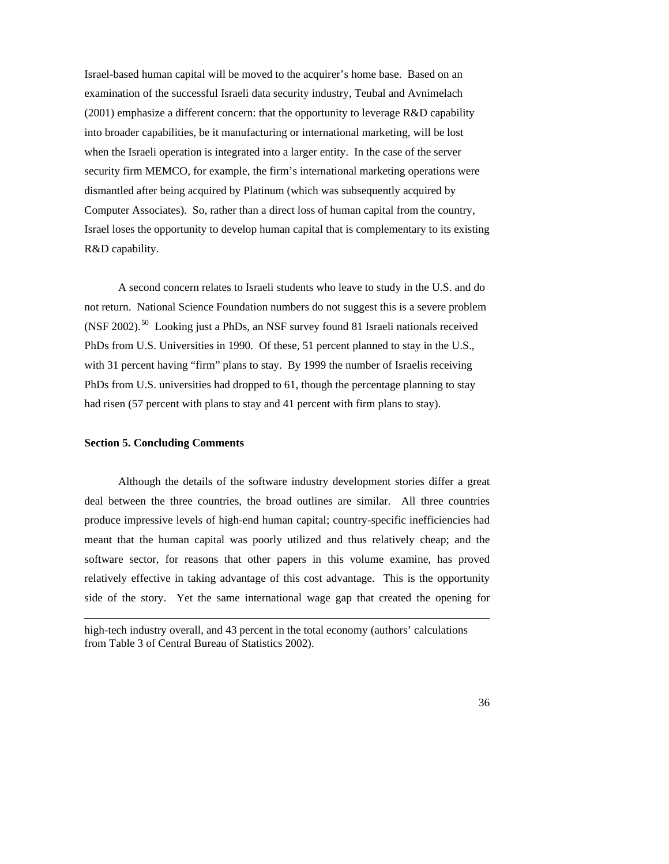Israel-based human capital will be moved to the acquirer's home base. Based on an examination of the successful Israeli data security industry, Teubal and Avnimelach (2001) emphasize a different concern: that the opportunity to leverage R&D capability into broader capabilities, be it manufacturing or international marketing, will be lost when the Israeli operation is integrated into a larger entity. In the case of the server security firm MEMCO, for example, the firm's international marketing operations were dismantled after being acquired by Platinum (which was subsequently acquired by Computer Associates). So, rather than a direct loss of human capital from the country, Israel loses the opportunity to develop human capital that is complementary to its existing R&D capability.

A second concern relates to Israeli students who leave to study in the U.S. and do not return. National Science Foundation numbers do not suggest this is a severe problem (NSF 2002).<sup>[50](#page-36-0)</sup> Looking just a PhDs, an NSF survey found 81 Israeli nationals received PhDs from U.S. Universities in 1990. Of these, 51 percent planned to stay in the U.S., with 31 percent having "firm" plans to stay. By 1999 the number of Israelis receiving PhDs from U.S. universities had dropped to 61, though the percentage planning to stay had risen (57 percent with plans to stay and 41 percent with firm plans to stay).

### **Section 5. Concluding Comments**

l

Although the details of the software industry development stories differ a great deal between the three countries, the broad outlines are similar. All three countries produce impressive levels of high-end human capital; country-specific inefficiencies had meant that the human capital was poorly utilized and thus relatively cheap; and the software sector, for reasons that other papers in this volume examine, has proved relatively effective in taking advantage of this cost advantage. This is the opportunity side of the story. Yet the same international wage gap that created the opening for

<span id="page-36-0"></span>high-tech industry overall, and 43 percent in the total economy (authors' calculations from Table 3 of Central Bureau of Statistics 2002).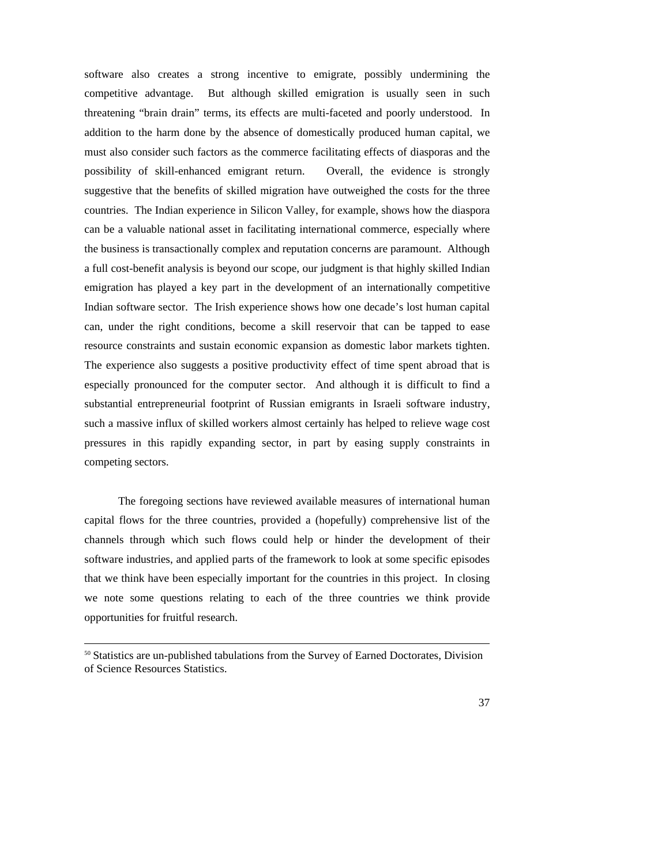software also creates a strong incentive to emigrate, possibly undermining the competitive advantage. But although skilled emigration is usually seen in such threatening "brain drain" terms, its effects are multi-faceted and poorly understood. In addition to the harm done by the absence of domestically produced human capital, we must also consider such factors as the commerce facilitating effects of diasporas and the possibility of skill-enhanced emigrant return. Overall, the evidence is strongly suggestive that the benefits of skilled migration have outweighed the costs for the three countries. The Indian experience in Silicon Valley, for example, shows how the diaspora can be a valuable national asset in facilitating international commerce, especially where the business is transactionally complex and reputation concerns are paramount. Although a full cost-benefit analysis is beyond our scope, our judgment is that highly skilled Indian emigration has played a key part in the development of an internationally competitive Indian software sector. The Irish experience shows how one decade's lost human capital can, under the right conditions, become a skill reservoir that can be tapped to ease resource constraints and sustain economic expansion as domestic labor markets tighten. The experience also suggests a positive productivity effect of time spent abroad that is especially pronounced for the computer sector. And although it is difficult to find a substantial entrepreneurial footprint of Russian emigrants in Israeli software industry, such a massive influx of skilled workers almost certainly has helped to relieve wage cost pressures in this rapidly expanding sector, in part by easing supply constraints in competing sectors.

The foregoing sections have reviewed available measures of international human capital flows for the three countries, provided a (hopefully) comprehensive list of the channels through which such flows could help or hinder the development of their software industries, and applied parts of the framework to look at some specific episodes that we think have been especially important for the countries in this project. In closing we note some questions relating to each of the three countries we think provide opportunities for fruitful research.

<sup>&</sup>lt;sup>50</sup> Statistics are un-published tabulations from the Survey of Earned Doctorates, Division of Science Resources Statistics.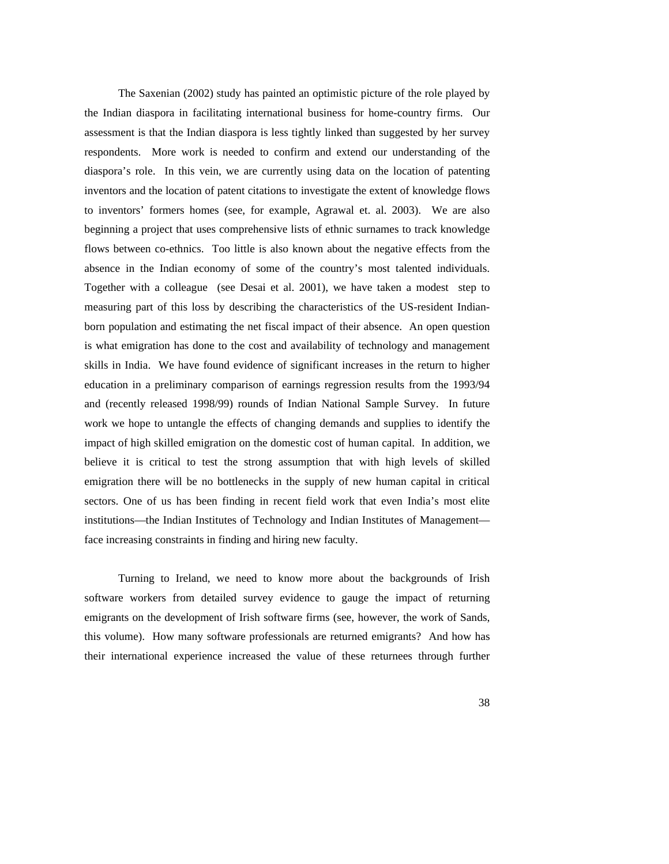The Saxenian (2002) study has painted an optimistic picture of the role played by the Indian diaspora in facilitating international business for home-country firms. Our assessment is that the Indian diaspora is less tightly linked than suggested by her survey respondents. More work is needed to confirm and extend our understanding of the diaspora's role. In this vein, we are currently using data on the location of patenting inventors and the location of patent citations to investigate the extent of knowledge flows to inventors' formers homes (see, for example, Agrawal et. al. 2003). We are also beginning a project that uses comprehensive lists of ethnic surnames to track knowledge flows between co-ethnics. Too little is also known about the negative effects from the absence in the Indian economy of some of the country's most talented individuals. Together with a colleague (see Desai et al. 2001), we have taken a modest step to measuring part of this loss by describing the characteristics of the US-resident Indianborn population and estimating the net fiscal impact of their absence. An open question is what emigration has done to the cost and availability of technology and management skills in India. We have found evidence of significant increases in the return to higher education in a preliminary comparison of earnings regression results from the 1993/94 and (recently released 1998/99) rounds of Indian National Sample Survey. In future work we hope to untangle the effects of changing demands and supplies to identify the impact of high skilled emigration on the domestic cost of human capital. In addition, we believe it is critical to test the strong assumption that with high levels of skilled emigration there will be no bottlenecks in the supply of new human capital in critical sectors. One of us has been finding in recent field work that even India's most elite institutions—the Indian Institutes of Technology and Indian Institutes of Management face increasing constraints in finding and hiring new faculty.

 Turning to Ireland, we need to know more about the backgrounds of Irish software workers from detailed survey evidence to gauge the impact of returning emigrants on the development of Irish software firms (see, however, the work of Sands, this volume). How many software professionals are returned emigrants? And how has their international experience increased the value of these returnees through further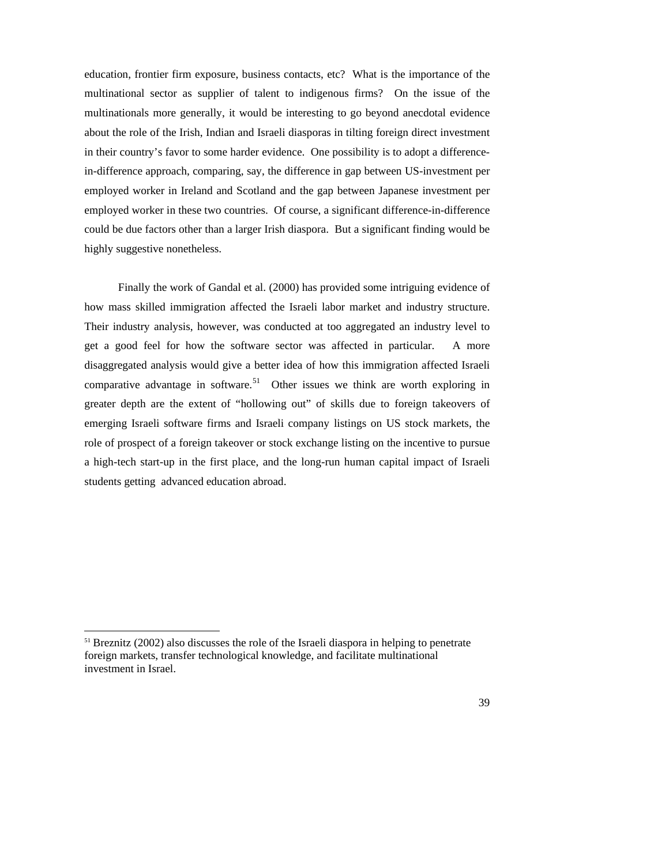education, frontier firm exposure, business contacts, etc? What is the importance of the multinational sector as supplier of talent to indigenous firms? On the issue of the multinationals more generally, it would be interesting to go beyond anecdotal evidence about the role of the Irish, Indian and Israeli diasporas in tilting foreign direct investment in their country's favor to some harder evidence. One possibility is to adopt a differencein-difference approach, comparing, say, the difference in gap between US-investment per employed worker in Ireland and Scotland and the gap between Japanese investment per employed worker in these two countries. Of course, a significant difference-in-difference could be due factors other than a larger Irish diaspora. But a significant finding would be highly suggestive nonetheless.

 Finally the work of Gandal et al. (2000) has provided some intriguing evidence of how mass skilled immigration affected the Israeli labor market and industry structure. Their industry analysis, however, was conducted at too aggregated an industry level to get a good feel for how the software sector was affected in particular. A more disaggregated analysis would give a better idea of how this immigration affected Israeli comparative advantage in software.<sup>[51](#page-39-0)</sup> Other issues we think are worth exploring in greater depth are the extent of "hollowing out" of skills due to foreign takeovers of emerging Israeli software firms and Israeli company listings on US stock markets, the role of prospect of a foreign takeover or stock exchange listing on the incentive to pursue a high-tech start-up in the first place, and the long-run human capital impact of Israeli students getting advanced education abroad.

 $\overline{a}$ 

<span id="page-39-0"></span><sup>51</sup> Breznitz (2002) also discusses the role of the Israeli diaspora in helping to penetrate foreign markets, transfer technological knowledge, and facilitate multinational investment in Israel.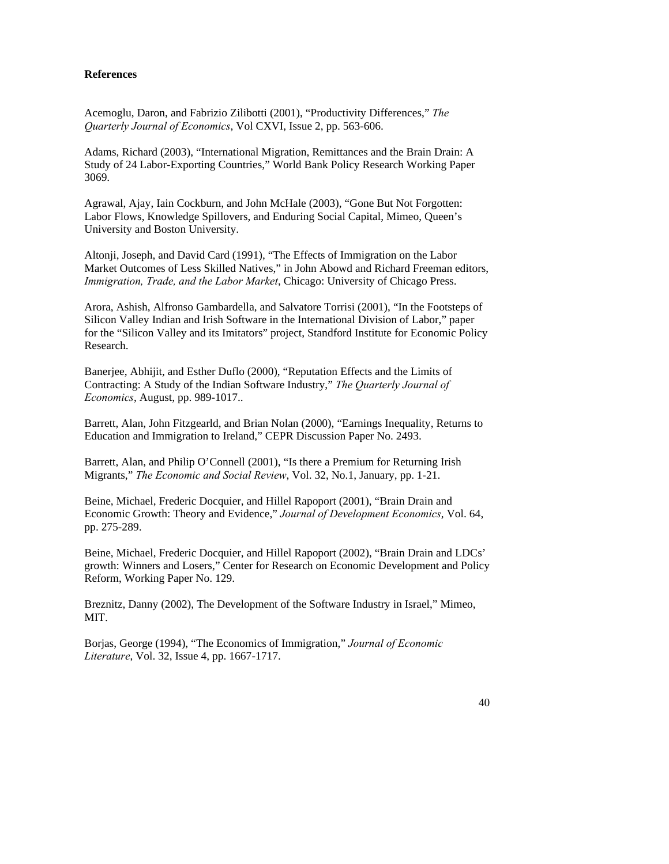## **References**

Acemoglu, Daron, and Fabrizio Zilibotti (2001), "Productivity Differences," *The Quarterly Journal of Economics*, Vol CXVI, Issue 2, pp. 563-606.

Adams, Richard (2003), "International Migration, Remittances and the Brain Drain: A Study of 24 Labor-Exporting Countries," World Bank Policy Research Working Paper 3069.

Agrawal, Ajay, Iain Cockburn, and John McHale (2003), "Gone But Not Forgotten: Labor Flows, Knowledge Spillovers, and Enduring Social Capital, Mimeo, Queen's University and Boston University.

Altonji, Joseph, and David Card (1991), "The Effects of Immigration on the Labor Market Outcomes of Less Skilled Natives," in John Abowd and Richard Freeman editors, *Immigration, Trade, and the Labor Market*, Chicago: University of Chicago Press.

Arora, Ashish, Alfronso Gambardella, and Salvatore Torrisi (2001), "In the Footsteps of Silicon Valley Indian and Irish Software in the International Division of Labor," paper for the "Silicon Valley and its Imitators" project, Standford Institute for Economic Policy Research.

Banerjee, Abhijit, and Esther Duflo (2000), "Reputation Effects and the Limits of Contracting: A Study of the Indian Software Industry," *The Quarterly Journal of Economics*, August, pp. 989-1017..

Barrett, Alan, John Fitzgearld, and Brian Nolan (2000), "Earnings Inequality, Returns to Education and Immigration to Ireland," CEPR Discussion Paper No. 2493.

Barrett, Alan, and Philip O'Connell (2001), "Is there a Premium for Returning Irish Migrants," *The Economic and Social Review*, Vol. 32, No.1, January, pp. 1-21.

Beine, Michael, Frederic Docquier, and Hillel Rapoport (2001), "Brain Drain and Economic Growth: Theory and Evidence," *Journal of Development Economics*, Vol. 64, pp. 275-289.

Beine, Michael, Frederic Docquier, and Hillel Rapoport (2002), "Brain Drain and LDCs' growth: Winners and Losers," Center for Research on Economic Development and Policy Reform, Working Paper No. 129.

Breznitz, Danny (2002), The Development of the Software Industry in Israel," Mimeo, MIT.

Borjas, George (1994), "The Economics of Immigration," *Journal of Economic Literature*, Vol. 32, Issue 4, pp. 1667-1717.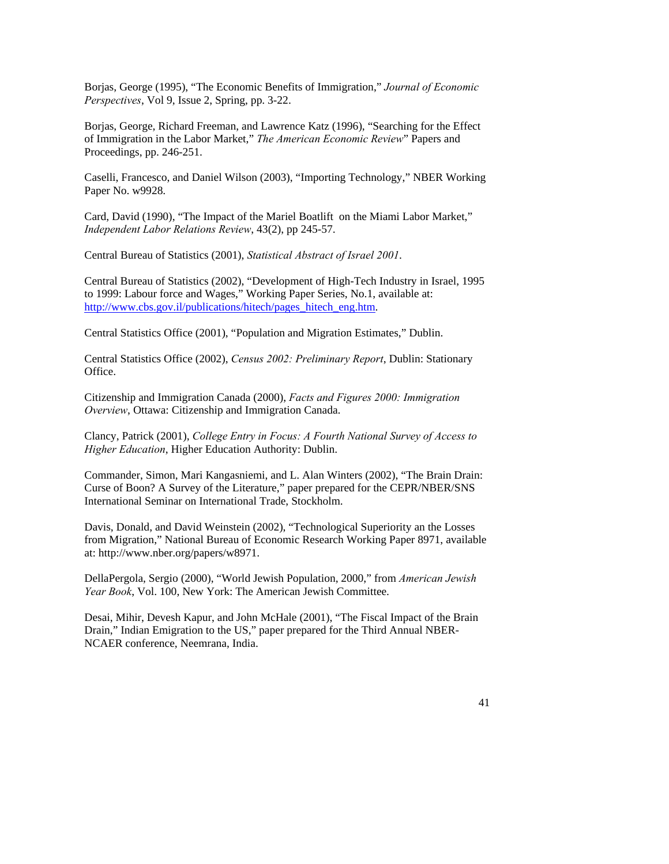Borjas, George (1995), "The Economic Benefits of Immigration," *Journal of Economic Perspectives*, Vol 9, Issue 2, Spring, pp. 3-22.

Borjas, George, Richard Freeman, and Lawrence Katz (1996), "Searching for the Effect of Immigration in the Labor Market," *The American Economic Review*" Papers and Proceedings, pp. 246-251.

Caselli, Francesco, and Daniel Wilson (2003), "Importing Technology," NBER Working Paper No. w9928.

Card, David (1990), "The Impact of the Mariel Boatlift on the Miami Labor Market," *Independent Labor Relations Review*, 43(2), pp 245-57.

Central Bureau of Statistics (2001), *Statistical Abstract of Israel 2001*.

Central Bureau of Statistics (2002), "Development of High-Tech Industry in Israel, 1995 to 1999: Labour force and Wages," Working Paper Series, No.1, available at: [http://www.cbs.gov.il/publications/hitech/pages\\_hitech\\_eng.htm.](http://www.cbs.gov.il/publications/hitech/pages_hitech_eng.htm)

Central Statistics Office (2001), "Population and Migration Estimates," Dublin.

Central Statistics Office (2002), *Census 2002: Preliminary Report*, Dublin: Stationary Office.

Citizenship and Immigration Canada (2000), *Facts and Figures 2000: Immigration Overview*, Ottawa: Citizenship and Immigration Canada.

Clancy, Patrick (2001), *College Entry in Focus: A Fourth National Survey of Access to Higher Education*, Higher Education Authority: Dublin.

Commander, Simon, Mari Kangasniemi, and L. Alan Winters (2002), "The Brain Drain: Curse of Boon? A Survey of the Literature," paper prepared for the CEPR/NBER/SNS International Seminar on International Trade, Stockholm.

Davis, Donald, and David Weinstein (2002), "Technological Superiority an the Losses from Migration," National Bureau of Economic Research Working Paper 8971, available at: http://www.nber.org/papers/w8971.

DellaPergola, Sergio (2000), "World Jewish Population, 2000," from *American Jewish Year Book*, Vol. 100, New York: The American Jewish Committee.

Desai, Mihir, Devesh Kapur, and John McHale (2001), "The Fiscal Impact of the Brain Drain," Indian Emigration to the US," paper prepared for the Third Annual NBER-NCAER conference, Neemrana, India.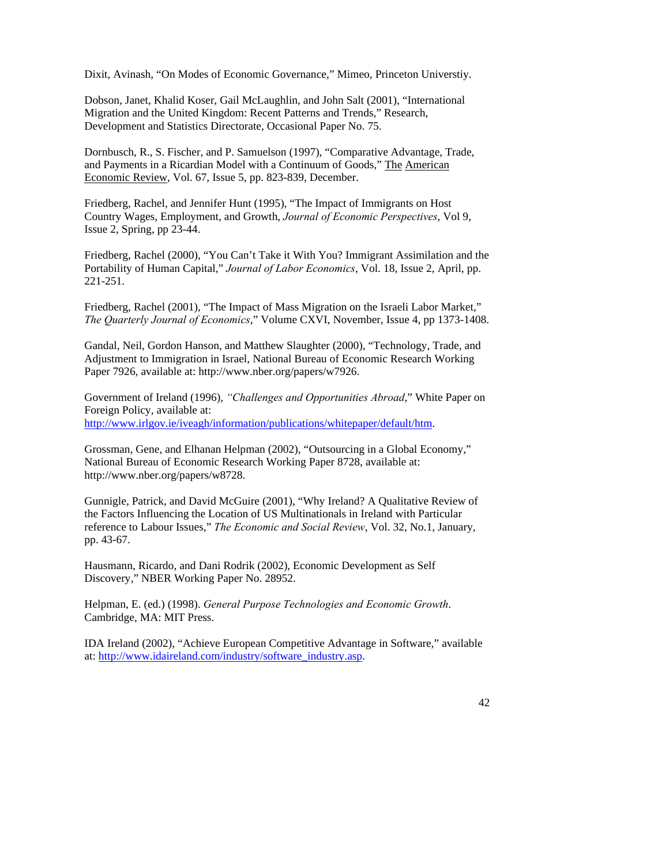Dixit, Avinash, "On Modes of Economic Governance," Mimeo, Princeton Universtiy.

Dobson, Janet, Khalid Koser, Gail McLaughlin, and John Salt (2001), "International Migration and the United Kingdom: Recent Patterns and Trends," Research, Development and Statistics Directorate, Occasional Paper No. 75.

Dornbusch, R., S. Fischer, and P. Samuelson (1997), "Comparative Advantage, Trade, and Payments in a Ricardian Model with a Continuum of Goods," The American Economic Review, Vol. 67, Issue 5, pp. 823-839, December.

Friedberg, Rachel, and Jennifer Hunt (1995), "The Impact of Immigrants on Host Country Wages, Employment, and Growth, *Journal of Economic Perspectives*, Vol 9, Issue 2, Spring, pp 23-44.

Friedberg, Rachel (2000), "You Can't Take it With You? Immigrant Assimilation and the Portability of Human Capital," *Journal of Labor Economics*, Vol. 18, Issue 2, April, pp. 221-251.

Friedberg, Rachel (2001), "The Impact of Mass Migration on the Israeli Labor Market," *The Quarterly Journal of Economics*," Volume CXVI, November, Issue 4, pp 1373-1408.

Gandal, Neil, Gordon Hanson, and Matthew Slaughter (2000), "Technology, Trade, and Adjustment to Immigration in Israel, National Bureau of Economic Research Working Paper 7926, available at: http://www.nber.org/papers/w7926.

Government of Ireland (1996), *"Challenges and Opportunities Abroad*," White Paper on Foreign Policy, available at: [http://www.irlgov.ie/iveagh/information/publications/whitepaper/default/htm.](http://www.irlgov.ie/iveagh/information/publications/whitepaper/default/htm)

Grossman, Gene, and Elhanan Helpman (2002), "Outsourcing in a Global Economy," National Bureau of Economic Research Working Paper 8728, available at: http://www.nber.org/papers/w8728.

Gunnigle, Patrick, and David McGuire (2001), "Why Ireland? A Qualitative Review of the Factors Influencing the Location of US Multinationals in Ireland with Particular reference to Labour Issues," *The Economic and Social Review*, Vol. 32, No.1, January, pp. 43-67.

Hausmann, Ricardo, and Dani Rodrik (2002), Economic Development as Self Discovery," NBER Working Paper No. 28952.

Helpman, E. (ed.) (1998). *General Purpose Technologies and Economic Growth*. Cambridge, MA: MIT Press.

IDA Ireland (2002), "Achieve European Competitive Advantage in Software," available at: [http://www.idaireland.com/industry/software\\_industry.asp.](http://www.idaireland.com/industry/software_industry.asp)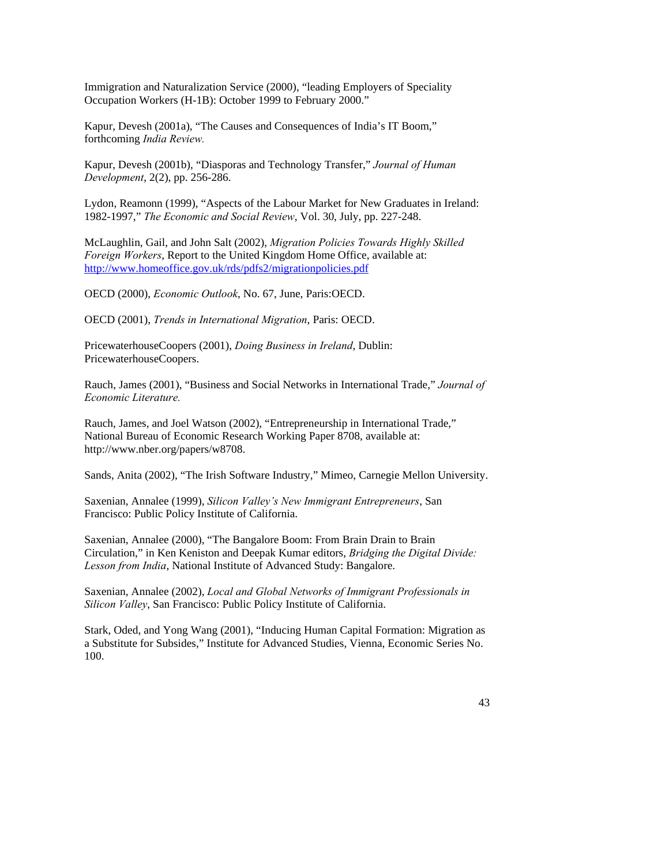Immigration and Naturalization Service (2000), "leading Employers of Speciality Occupation Workers (H-1B): October 1999 to February 2000."

Kapur, Devesh (2001a), "The Causes and Consequences of India's IT Boom," forthcoming *India Review.* 

Kapur, Devesh (2001b), "Diasporas and Technology Transfer," *Journal of Human Development*, 2(2), pp. 256-286.

Lydon, Reamonn (1999), "Aspects of the Labour Market for New Graduates in Ireland: 1982-1997," *The Economic and Social Review*, Vol. 30, July, pp. 227-248.

McLaughlin, Gail, and John Salt (2002), *Migration Policies Towards Highly Skilled Foreign Workers*, Report to the United Kingdom Home Office, available at: <http://www.homeoffice.gov.uk/rds/pdfs2/migrationpolicies.pdf>

OECD (2000), *Economic Outlook*, No. 67, June, Paris:OECD.

OECD (2001), *Trends in International Migration*, Paris: OECD.

PricewaterhouseCoopers (2001), *Doing Business in Ireland*, Dublin: PricewaterhouseCoopers.

Rauch, James (2001), "Business and Social Networks in International Trade," *Journal of Economic Literature.* 

Rauch, James, and Joel Watson (2002), "Entrepreneurship in International Trade," National Bureau of Economic Research Working Paper 8708, available at: http://www.nber.org/papers/w8708.

Sands, Anita (2002), "The Irish Software Industry," Mimeo, Carnegie Mellon University.

Saxenian, Annalee (1999), *Silicon Valley's New Immigrant Entrepreneurs*, San Francisco: Public Policy Institute of California.

Saxenian, Annalee (2000), "The Bangalore Boom: From Brain Drain to Brain Circulation," in Ken Keniston and Deepak Kumar editors, *Bridging the Digital Divide: Lesson from India*, National Institute of Advanced Study: Bangalore.

Saxenian, Annalee (2002), *Local and Global Networks of Immigrant Professionals in Silicon Valley*, San Francisco: Public Policy Institute of California.

Stark, Oded, and Yong Wang (2001), "Inducing Human Capital Formation: Migration as a Substitute for Subsides," Institute for Advanced Studies, Vienna, Economic Series No. 100.